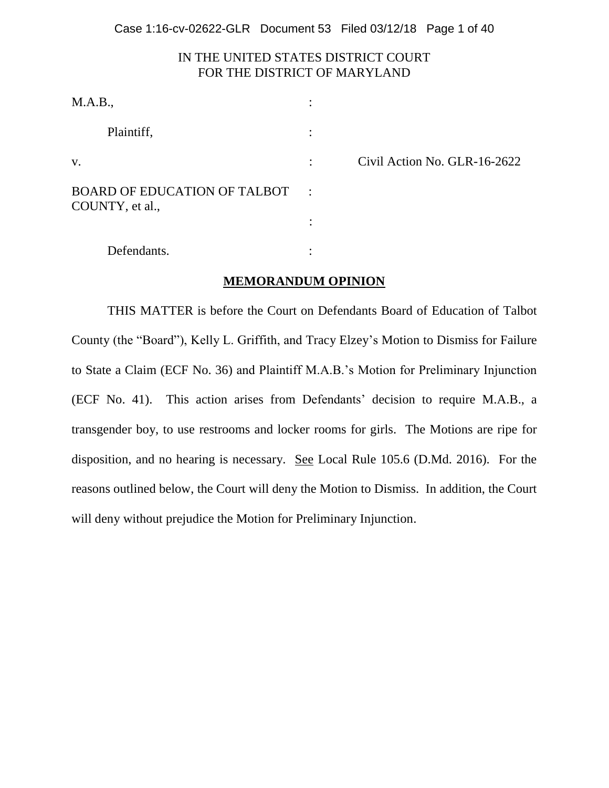Case 1:16-cv-02622-GLR Document 53 Filed 03/12/18 Page 1 of 40

# IN THE UNITED STATES DISTRICT COURT FOR THE DISTRICT OF MARYLAND

| M.A.B.,                                                |                |                              |
|--------------------------------------------------------|----------------|------------------------------|
| Plaintiff,                                             |                |                              |
| V.                                                     | $\bullet$      | Civil Action No. GLR-16-2622 |
| <b>BOARD OF EDUCATION OF TALBOT</b><br>COUNTY, et al., | $\mathbb{R}^2$ |                              |
|                                                        |                |                              |
| Defendants.                                            |                |                              |

#### **MEMORANDUM OPINION**

THIS MATTER is before the Court on Defendants Board of Education of Talbot County (the "Board"), Kelly L. Griffith, and Tracy Elzey's Motion to Dismiss for Failure to State a Claim (ECF No. 36) and Plaintiff M.A.B.'s Motion for Preliminary Injunction (ECF No. 41). This action arises from Defendants' decision to require M.A.B., a transgender boy, to use restrooms and locker rooms for girls. The Motions are ripe for disposition, and no hearing is necessary. See Local Rule 105.6 (D.Md. 2016). For the reasons outlined below, the Court will deny the Motion to Dismiss. In addition, the Court will deny without prejudice the Motion for Preliminary Injunction.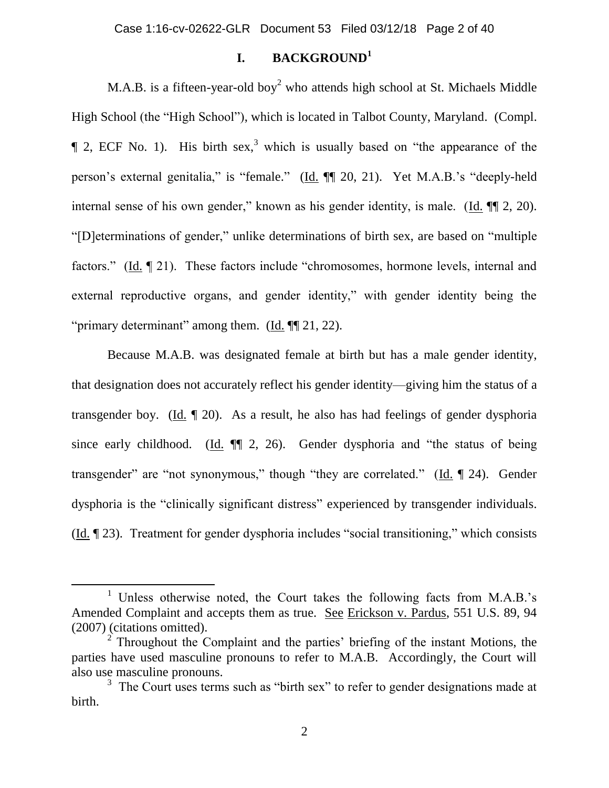Case 1:16-cv-02622-GLR Document 53 Filed 03/12/18 Page 2 of 40

# **I. BACKGROUND<sup>1</sup>**

M.A.B. is a fifteen-year-old boy<sup>2</sup> who attends high school at St. Michaels Middle High School (the "High School"), which is located in Talbot County, Maryland. (Compl.  $\parallel$  2, ECF No. 1). His birth sex,<sup>3</sup> which is usually based on "the appearance of the person's external genitalia," is "female." (Id. ¶¶ 20, 21). Yet M.A.B.'s "deeply-held internal sense of his own gender," known as his gender identity, is male. (Id. ¶¶ 2, 20). "[D]eterminations of gender," unlike determinations of birth sex, are based on "multiple factors." (Id. 121). These factors include "chromosomes, hormone levels, internal and external reproductive organs, and gender identity," with gender identity being the "primary determinant" among them.  $(Id. \P\P 21, 22)$ .

Because M.A.B. was designated female at birth but has a male gender identity, that designation does not accurately reflect his gender identity—giving him the status of a transgender boy. (Id. ¶ 20). As a result, he also has had feelings of gender dysphoria since early childhood. (Id. ¶¶ 2, 26). Gender dysphoria and "the status of being transgender" are "not synonymous," though "they are correlated." (Id. ¶ 24). Gender dysphoria is the "clinically significant distress" experienced by transgender individuals. (Id. ¶ 23). Treatment for gender dysphoria includes "social transitioning," which consists

 $\overline{\phantom{a}}$ 

<sup>&</sup>lt;sup>1</sup> Unless otherwise noted, the Court takes the following facts from M.A.B.'s Amended Complaint and accepts them as true. See Erickson v. Pardus, 551 U.S. 89, 94 (2007) (citations omitted).

<sup>&</sup>lt;sup>2</sup> Throughout the Complaint and the parties' briefing of the instant Motions, the parties have used masculine pronouns to refer to M.A.B. Accordingly, the Court will also use masculine pronouns.

<sup>&</sup>lt;sup>3</sup> The Court uses terms such as "birth sex" to refer to gender designations made at birth.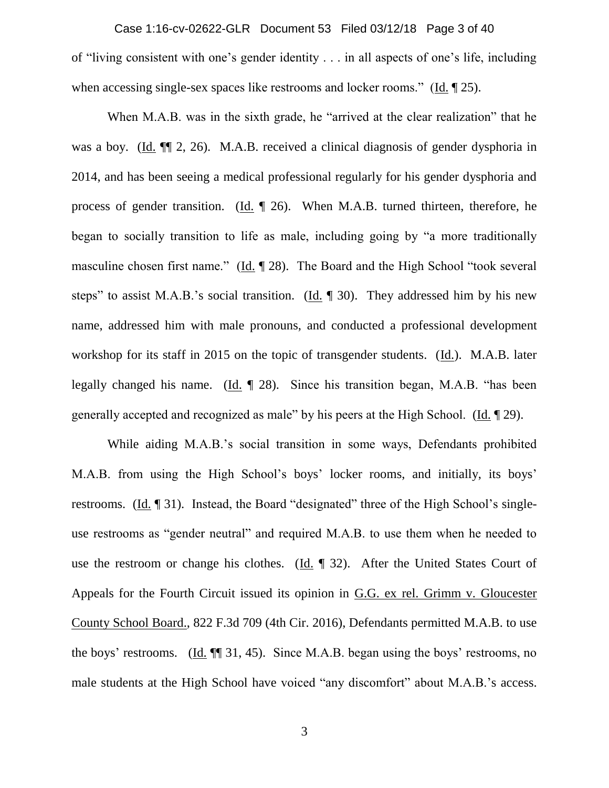of "living consistent with one's gender identity . . . in all aspects of one's life, including when accessing single-sex spaces like restrooms and locker rooms." (Id. 1925). Case 1:16-cv-02622-GLR Document 53 Filed 03/12/18 Page 3 of 40

When M.A.B. was in the sixth grade, he "arrived at the clear realization" that he was a boy. (Id. ¶¶ 2, 26). M.A.B. received a clinical diagnosis of gender dysphoria in 2014, and has been seeing a medical professional regularly for his gender dysphoria and process of gender transition.  $(\underline{Id}$ .  $\P$  26). When M.A.B. turned thirteen, therefore, he began to socially transition to life as male, including going by "a more traditionally masculine chosen first name." (Id. ¶ 28). The Board and the High School "took several steps" to assist M.A.B.'s social transition. (Id. ¶ 30). They addressed him by his new name, addressed him with male pronouns, and conducted a professional development workshop for its staff in 2015 on the topic of transgender students. (Id.). M.A.B. later legally changed his name. (Id. ¶ 28). Since his transition began, M.A.B. "has been generally accepted and recognized as male" by his peers at the High School. (Id. ¶ 29).

While aiding M.A.B.'s social transition in some ways, Defendants prohibited M.A.B. from using the High School's boys' locker rooms, and initially, its boys' restrooms. (Id. ¶ 31). Instead, the Board "designated" three of the High School's singleuse restrooms as "gender neutral" and required M.A.B. to use them when he needed to use the restroom or change his clothes. (Id. ¶ 32). After the United States Court of Appeals for the Fourth Circuit issued its opinion in G.G. ex rel. Grimm v. Gloucester County School Board., 822 F.3d 709 (4th Cir. 2016), Defendants permitted M.A.B. to use the boys' restrooms. (Id. ¶¶ 31, 45). Since M.A.B. began using the boys' restrooms, no male students at the High School have voiced "any discomfort" about M.A.B.'s access.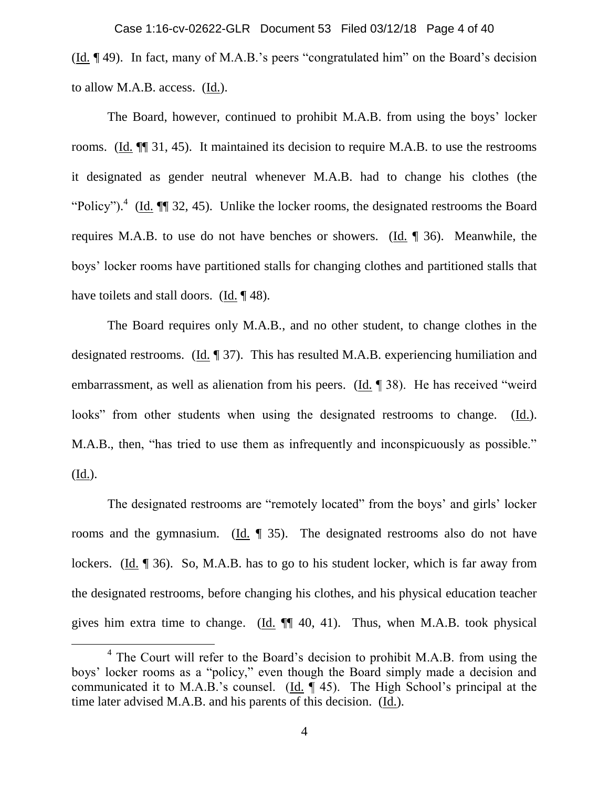(Id. ¶ 49). In fact, many of M.A.B.'s peers "congratulated him" on the Board's decision to allow M.A.B. access. (Id.). Case 1:16-cv-02622-GLR Document 53 Filed 03/12/18 Page 4 of 40

The Board, however, continued to prohibit M.A.B. from using the boys' locker rooms. (Id. ¶¶ 31, 45). It maintained its decision to require M.A.B. to use the restrooms it designated as gender neutral whenever M.A.B. had to change his clothes (the "Policy").<sup>4</sup> (Id.  $\P$  32, 45). Unlike the locker rooms, the designated restrooms the Board requires M.A.B. to use do not have benches or showers. (Id. ¶ 36). Meanwhile, the boys' locker rooms have partitioned stalls for changing clothes and partitioned stalls that have toilets and stall doors. (Id. ¶ 48).

The Board requires only M.A.B., and no other student, to change clothes in the designated restrooms. (Id. 1 37). This has resulted M.A.B. experiencing humiliation and embarrassment, as well as alienation from his peers. (Id. ¶ 38). He has received "weird looks" from other students when using the designated restrooms to change. (Id.). M.A.B., then, "has tried to use them as infrequently and inconspicuously as possible." (Id.).

The designated restrooms are "remotely located" from the boys' and girls' locker rooms and the gymnasium. (Id.  $\parallel$  35). The designated restrooms also do not have lockers. (Id. ¶ 36). So, M.A.B. has to go to his student locker, which is far away from the designated restrooms, before changing his clothes, and his physical education teacher gives him extra time to change.  $(Id. \P \P \ 40, 41)$ . Thus, when M.A.B. took physical

l

<sup>&</sup>lt;sup>4</sup> The Court will refer to the Board's decision to prohibit M.A.B. from using the boys' locker rooms as a "policy," even though the Board simply made a decision and communicated it to M.A.B.'s counsel. (Id. ¶ 45). The High School's principal at the time later advised M.A.B. and his parents of this decision. (Id.).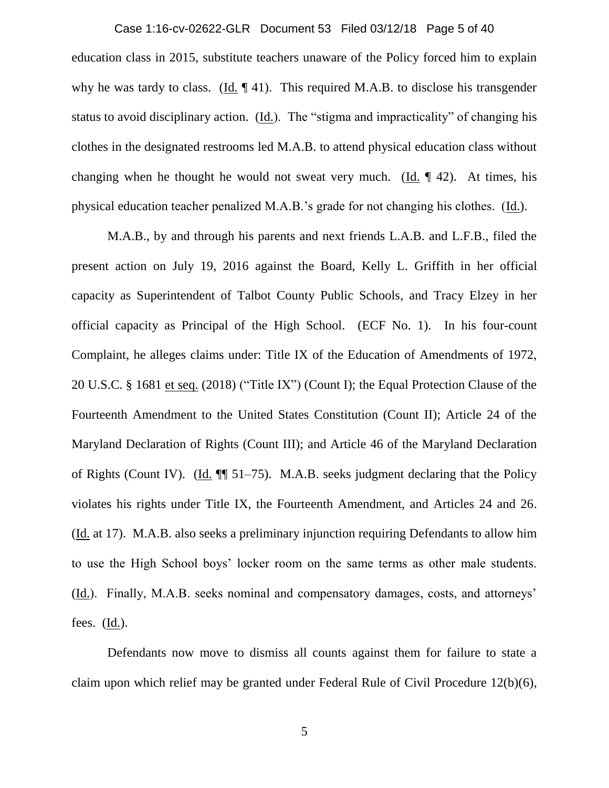education class in 2015, substitute teachers unaware of the Policy forced him to explain why he was tardy to class. (Id.  $\llbracket 41$ ). This required M.A.B. to disclose his transgender status to avoid disciplinary action. (Id.). The "stigma and impracticality" of changing his clothes in the designated restrooms led M.A.B. to attend physical education class without changing when he thought he would not sweat very much. (Id.  $\P$  42). At times, his physical education teacher penalized M.A.B.'s grade for not changing his clothes. (Id.). Case 1:16-cv-02622-GLR Document 53 Filed 03/12/18 Page 5 of 40

M.A.B., by and through his parents and next friends L.A.B. and L.F.B., filed the present action on July 19, 2016 against the Board, Kelly L. Griffith in her official capacity as Superintendent of Talbot County Public Schools, and Tracy Elzey in her official capacity as Principal of the High School. (ECF No. 1). In his four-count Complaint, he alleges claims under: Title IX of the Education of Amendments of 1972, 20 U.S.C. § 1681 et seq. (2018) ("Title IX") (Count I); the Equal Protection Clause of the Fourteenth Amendment to the United States Constitution (Count II); Article 24 of the Maryland Declaration of Rights (Count III); and Article 46 of the Maryland Declaration of Rights (Count IV). (Id. ¶¶ 51–75). M.A.B. seeks judgment declaring that the Policy violates his rights under Title IX, the Fourteenth Amendment, and Articles 24 and 26. (Id. at 17). M.A.B. also seeks a preliminary injunction requiring Defendants to allow him to use the High School boys' locker room on the same terms as other male students. (Id.). Finally, M.A.B. seeks nominal and compensatory damages, costs, and attorneys' fees. (Id.).

Defendants now move to dismiss all counts against them for failure to state a claim upon which relief may be granted under Federal Rule of Civil Procedure 12(b)(6),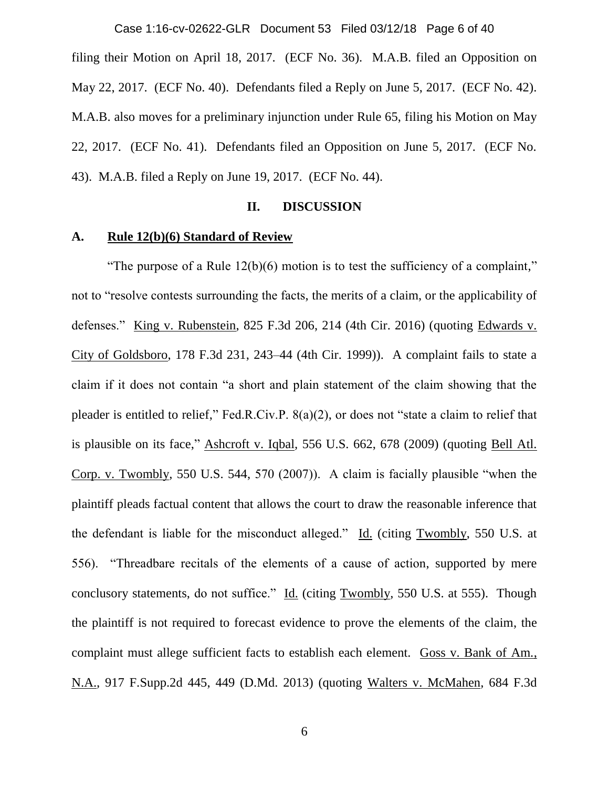filing their Motion on April 18, 2017. (ECF No. 36). M.A.B. filed an Opposition on May 22, 2017. (ECF No. 40). Defendants filed a Reply on June 5, 2017. (ECF No. 42). M.A.B. also moves for a preliminary injunction under Rule 65, filing his Motion on May 22, 2017. (ECF No. 41). Defendants filed an Opposition on June 5, 2017. (ECF No. 43). M.A.B. filed a Reply on June 19, 2017. (ECF No. 44). Case 1:16-cv-02622-GLR Document 53 Filed 03/12/18 Page 6 of 40

#### **II. DISCUSSION**

## **A. Rule 12(b)(6) Standard of Review**

"The purpose of a Rule  $12(b)(6)$  motion is to test the sufficiency of a complaint," not to "resolve contests surrounding the facts, the merits of a claim, or the applicability of defenses." King v. Rubenstein, 825 F.3d 206, 214 (4th Cir. 2016) (quoting Edwards v. City of Goldsboro, 178 F.3d 231, 243–44 (4th Cir. 1999)). A complaint fails to state a claim if it does not contain "a short and plain statement of the claim showing that the pleader is entitled to relief," Fed.R.Civ.P. 8(a)(2), or does not "state a claim to relief that is plausible on its face," Ashcroft v. Iqbal*,* 556 U.S. 662, 678 (2009) (quoting Bell Atl. Corp. v. Twombly*,* 550 U.S. 544, 570 (2007)). A claim is facially plausible "when the plaintiff pleads factual content that allows the court to draw the reasonable inference that the defendant is liable for the misconduct alleged." Id. (citing Twombly, 550 U.S. at 556). "Threadbare recitals of the elements of a cause of action, supported by mere conclusory statements, do not suffice." Id. (citing Twombly*,* 550 U.S. at 555). Though the plaintiff is not required to forecast evidence to prove the elements of the claim, the complaint must allege sufficient facts to establish each element. Goss v. Bank of Am., N.A.*,* 917 F.Supp.2d 445, 449 (D.Md. 2013) (quoting Walters v. McMahen*,* 684 F.3d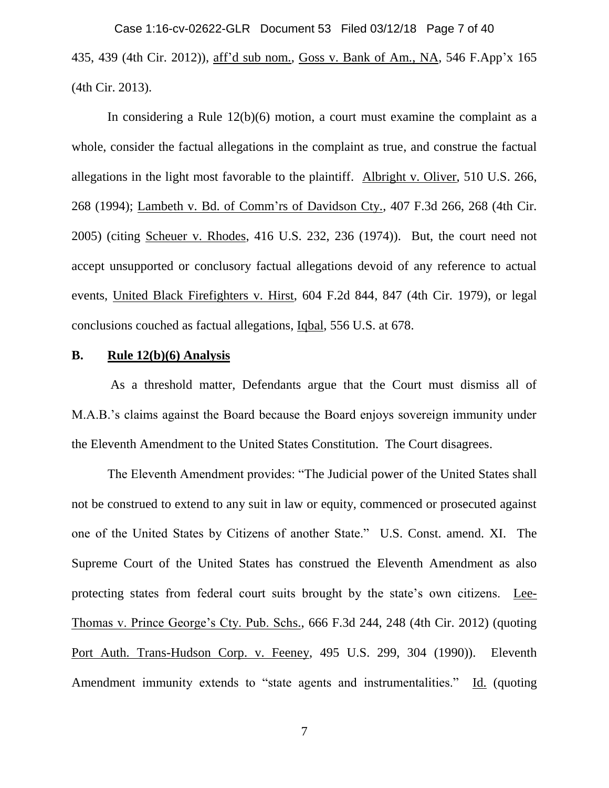435, 439 (4th Cir. 2012)), aff'd sub nom., Goss v. Bank of Am., NA, 546 F.App'x 165 (4th Cir. 2013). Case 1:16-cv-02622-GLR Document 53 Filed 03/12/18 Page 7 of 40

In considering a Rule 12(b)(6) motion, a court must examine the complaint as a whole, consider the factual allegations in the complaint as true, and construe the factual allegations in the light most favorable to the plaintiff. Albright v. Oliver, 510 U.S. 266, 268 (1994); Lambeth v. Bd. of Comm'rs of Davidson Cty., 407 F.3d 266, 268 (4th Cir. 2005) (citing Scheuer v. Rhodes, 416 U.S. 232, 236 (1974)). But, the court need not accept unsupported or conclusory factual allegations devoid of any reference to actual events, United Black Firefighters v. Hirst, 604 F.2d 844, 847 (4th Cir. 1979), or legal conclusions couched as factual allegations, Iqbal, 556 U.S. at 678.

#### **B. Rule 12(b)(6) Analysis**

As a threshold matter, Defendants argue that the Court must dismiss all of M.A.B.'s claims against the Board because the Board enjoys sovereign immunity under the Eleventh Amendment to the United States Constitution. The Court disagrees.

The Eleventh Amendment provides: "The Judicial power of the United States shall not be construed to extend to any suit in law or equity, commenced or prosecuted against one of the United States by Citizens of another State." U.S. Const. amend. XI. The Supreme Court of the United States has construed the Eleventh Amendment as also protecting states from federal court suits brought by the state's own citizens. Lee-Thomas v. Prince George's Cty. Pub. Schs., 666 F.3d 244, 248 (4th Cir. 2012) (quoting Port Auth. Trans-Hudson Corp. v. Feeney, 495 U.S. 299, 304 (1990)). Eleventh Amendment immunity extends to "state agents and instrumentalities." Id. (quoting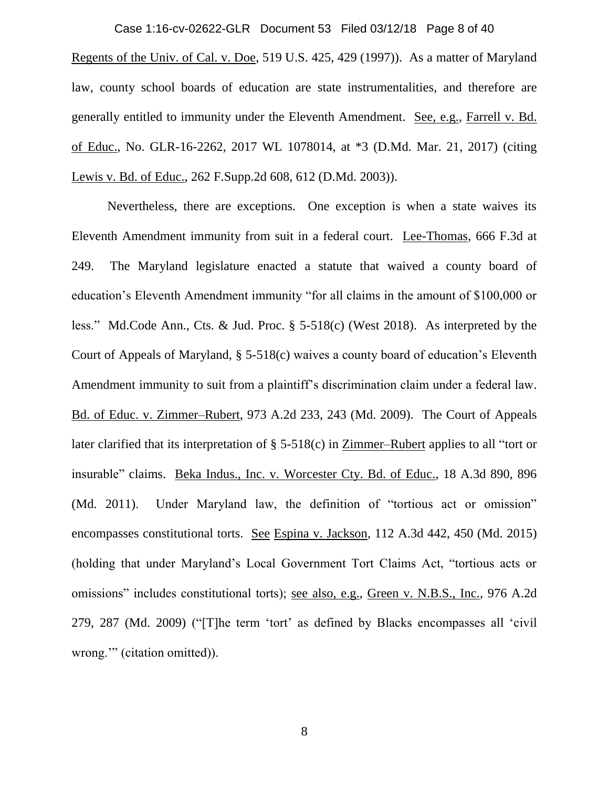Case 1:16-cv-02622-GLR Document 53 Filed 03/12/18 Page 8 of 40

Regents of the Univ. of Cal. v. Doe, 519 U.S. 425, 429 (1997)). As a matter of Maryland law, county school boards of education are state instrumentalities, and therefore are generally entitled to immunity under the Eleventh Amendment. See, e.g., Farrell v. Bd. of Educ., No. GLR-16-2262, 2017 WL 1078014, at \*3 (D.Md. Mar. 21, 2017) (citing Lewis v. Bd. of Educ., 262 F.Supp.2d 608, 612 (D.Md. 2003)).

Nevertheless, there are exceptions. One exception is when a state waives its Eleventh Amendment immunity from suit in a federal court. Lee-Thomas, 666 F.3d at 249. The Maryland legislature enacted a statute that waived a county board of education's Eleventh Amendment immunity "for all claims in the amount of \$100,000 or less." Md.Code Ann., Cts. & Jud. Proc. § 5-518(c) (West 2018). As interpreted by the Court of Appeals of Maryland, § 5-518(c) waives a county board of education's Eleventh Amendment immunity to suit from a plaintiff's discrimination claim under a federal law. Bd. of Educ. v. Zimmer–Rubert, 973 A.2d 233, 243 (Md. 2009). The Court of Appeals later clarified that its interpretation of § 5-518(c) in Zimmer–Rubert applies to all "tort or insurable" claims. Beka Indus., Inc. v. Worcester Cty. Bd. of Educ., 18 A.3d 890, 896 (Md. 2011). Under Maryland law, the definition of "tortious act or omission" encompasses constitutional torts. See Espina v. Jackson, 112 A.3d 442, 450 (Md. 2015) (holding that under Maryland's Local Government Tort Claims Act, "tortious acts or omissions" includes constitutional torts); see also, e.g., Green v. N.B.S., Inc., 976 A.2d 279, 287 (Md. 2009) ("[T]he term 'tort' as defined by Blacks encompasses all 'civil wrong.'" (citation omitted)).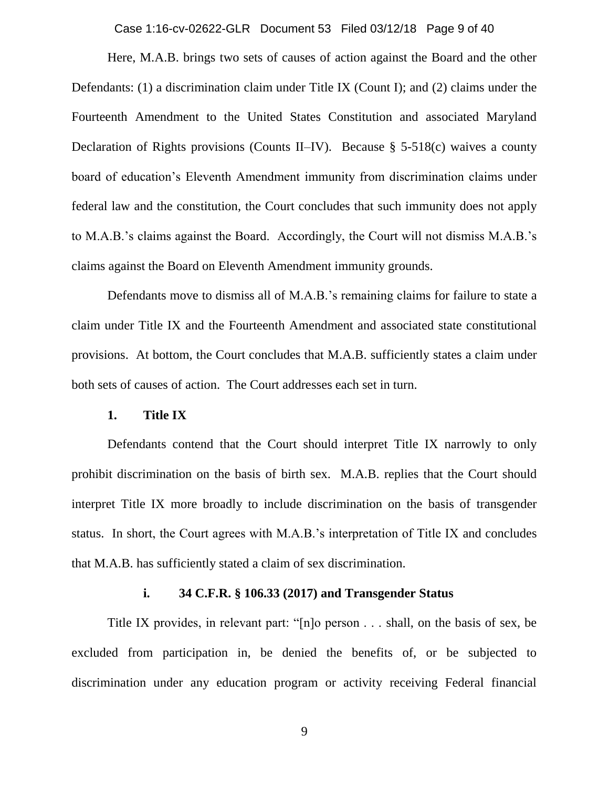Case 1:16-cv-02622-GLR Document 53 Filed 03/12/18 Page 9 of 40

Here, M.A.B. brings two sets of causes of action against the Board and the other Defendants: (1) a discrimination claim under Title IX (Count I); and (2) claims under the Fourteenth Amendment to the United States Constitution and associated Maryland Declaration of Rights provisions (Counts II–IV). Because § 5-518(c) waives a county board of education's Eleventh Amendment immunity from discrimination claims under federal law and the constitution, the Court concludes that such immunity does not apply to M.A.B.'s claims against the Board. Accordingly, the Court will not dismiss M.A.B.'s claims against the Board on Eleventh Amendment immunity grounds.

Defendants move to dismiss all of M.A.B.'s remaining claims for failure to state a claim under Title IX and the Fourteenth Amendment and associated state constitutional provisions. At bottom, the Court concludes that M.A.B. sufficiently states a claim under both sets of causes of action. The Court addresses each set in turn.

#### **1. Title IX**

Defendants contend that the Court should interpret Title IX narrowly to only prohibit discrimination on the basis of birth sex. M.A.B. replies that the Court should interpret Title IX more broadly to include discrimination on the basis of transgender status. In short, the Court agrees with M.A.B.'s interpretation of Title IX and concludes that M.A.B. has sufficiently stated a claim of sex discrimination.

## **i. 34 C.F.R. § 106.33 (2017) and Transgender Status**

Title IX provides, in relevant part: "[n]o person . . . shall, on the basis of sex, be excluded from participation in, be denied the benefits of, or be subjected to discrimination under any education program or activity receiving Federal financial

9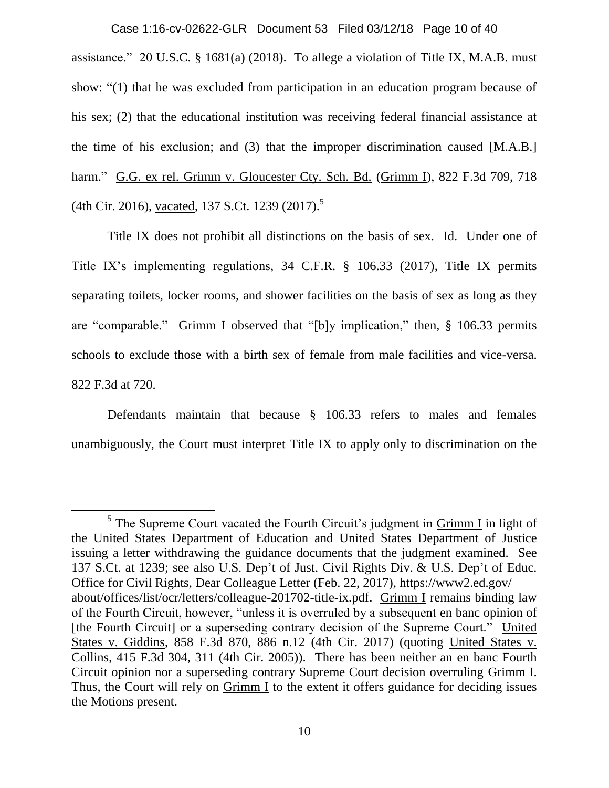assistance." 20 U.S.C. § 1681(a) (2018). To allege a violation of Title IX, M.A.B. must show: "(1) that he was excluded from participation in an education program because of his sex; (2) that the educational institution was receiving federal financial assistance at the time of his exclusion; and (3) that the improper discrimination caused [M.A.B.] harm." G.G. ex rel. Grimm v. Gloucester Cty. Sch. Bd. (Grimm I), 822 F.3d 709, 718 (4th Cir. 2016), vacated, 137 S.Ct. 1239 (2017).<sup>5</sup> Case 1:16-cv-02622-GLR Document 53 Filed 03/12/18 Page 10 of 40

Title IX does not prohibit all distinctions on the basis of sex. Id. Under one of Title IX's implementing regulations, 34 C.F.R. § 106.33 (2017), Title IX permits separating toilets, locker rooms, and shower facilities on the basis of sex as long as they are "comparable." Grimm I observed that "[b]y implication," then, § 106.33 permits schools to exclude those with a birth sex of female from male facilities and vice-versa. 822 F.3d at 720.

Defendants maintain that because § 106.33 refers to males and females unambiguously, the Court must interpret Title IX to apply only to discrimination on the

 $\overline{\phantom{a}}$ 

<sup>&</sup>lt;sup>5</sup> The Supreme Court vacated the Fourth Circuit's judgment in  $G$ rimm I in light of the United States Department of Education and United States Department of Justice issuing a letter withdrawing the guidance documents that the judgment examined. See 137 S.Ct. at 1239; see also U.S. Dep't of Just. Civil Rights Div. & U.S. Dep't of Educ. Office for Civil Rights, Dear Colleague Letter (Feb. 22, 2017), https://www2.ed.gov/ about/offices/list/ocr/letters/colleague-201702-title-ix.pdf. Grimm I remains binding law of the Fourth Circuit, however, "unless it is overruled by a subsequent en banc opinion of [the Fourth Circuit] or a superseding contrary decision of the Supreme Court." United States v. Giddins, 858 F.3d 870, 886 n.12 (4th Cir. 2017) (quoting United States v. Collins, 415 F.3d 304, 311 (4th Cir. 2005)). There has been neither an en banc Fourth Circuit opinion nor a superseding contrary Supreme Court decision overruling Grimm I. Thus, the Court will rely on Grimm I to the extent it offers guidance for deciding issues the Motions present.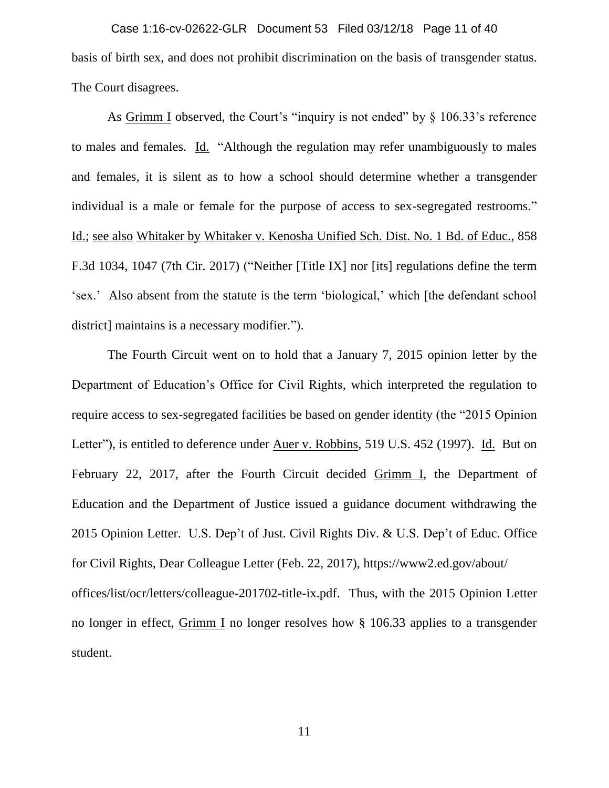basis of birth sex, and does not prohibit discrimination on the basis of transgender status. The Court disagrees. Case 1:16-cv-02622-GLR Document 53 Filed 03/12/18 Page 11 of 40

As Grimm I observed, the Court's "inquiry is not ended" by § 106.33's reference to males and females. Id. "Although the regulation may refer unambiguously to males and females, it is silent as to how a school should determine whether a transgender individual is a male or female for the purpose of access to sex-segregated restrooms." Id.; see also Whitaker by Whitaker v. Kenosha Unified Sch. Dist. No. 1 Bd. of Educ., 858 F.3d 1034, 1047 (7th Cir. 2017) ("Neither [Title IX] nor [its] regulations define the term 'sex.' Also absent from the statute is the term 'biological,' which [the defendant school district] maintains is a necessary modifier.").

The Fourth Circuit went on to hold that a January 7, 2015 opinion letter by the Department of Education's Office for Civil Rights, which interpreted the regulation to require access to sex-segregated facilities be based on gender identity (the "2015 Opinion Letter"), is entitled to deference under Auer v. Robbins, 519 U.S. 452 (1997). Id. But on February 22, 2017, after the Fourth Circuit decided Grimm I, the Department of Education and the Department of Justice issued a guidance document withdrawing the 2015 Opinion Letter. U.S. Dep't of Just. Civil Rights Div. & U.S. Dep't of Educ. Office for Civil Rights, Dear Colleague Letter (Feb. 22, 2017), https://www2.ed.gov/about/ offices/list/ocr/letters/colleague-201702-title-ix.pdf. Thus, with the 2015 Opinion Letter no longer in effect, Grimm I no longer resolves how § 106.33 applies to a transgender student.

11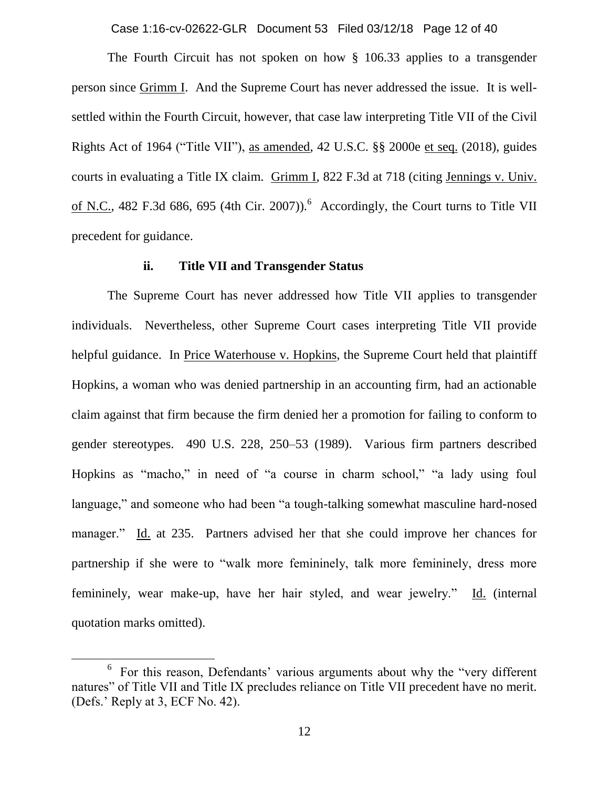Case 1:16-cv-02622-GLR Document 53 Filed 03/12/18 Page 12 of 40

The Fourth Circuit has not spoken on how § 106.33 applies to a transgender person since Grimm I. And the Supreme Court has never addressed the issue. It is wellsettled within the Fourth Circuit, however, that case law interpreting Title VII of the Civil Rights Act of 1964 ("Title VII"), as amended, 42 U.S.C. §§ 2000e et seq. (2018), guides courts in evaluating a Title IX claim. Grimm I, 822 F.3d at 718 (citing Jennings v. Univ. of N.C., 482 F.3d 686, 695 (4th Cir. 2007)). <sup>6</sup> Accordingly, the Court turns to Title VII precedent for guidance.

#### **ii. Title VII and Transgender Status**

The Supreme Court has never addressed how Title VII applies to transgender individuals. Nevertheless, other Supreme Court cases interpreting Title VII provide helpful guidance. In Price Waterhouse v. Hopkins, the Supreme Court held that plaintiff Hopkins, a woman who was denied partnership in an accounting firm, had an actionable claim against that firm because the firm denied her a promotion for failing to conform to gender stereotypes. 490 U.S. 228, 250–53 (1989). Various firm partners described Hopkins as "macho," in need of "a course in charm school," "a lady using foul language," and someone who had been "a tough-talking somewhat masculine hard-nosed manager." Id. at 235. Partners advised her that she could improve her chances for partnership if she were to "walk more femininely, talk more femininely, dress more femininely, wear make-up, have her hair styled, and wear jewelry." Id. (internal quotation marks omitted).

 $\overline{a}$ 

<sup>&</sup>lt;sup>6</sup> For this reason, Defendants' various arguments about why the "very different natures" of Title VII and Title IX precludes reliance on Title VII precedent have no merit. (Defs.' Reply at 3, ECF No. 42).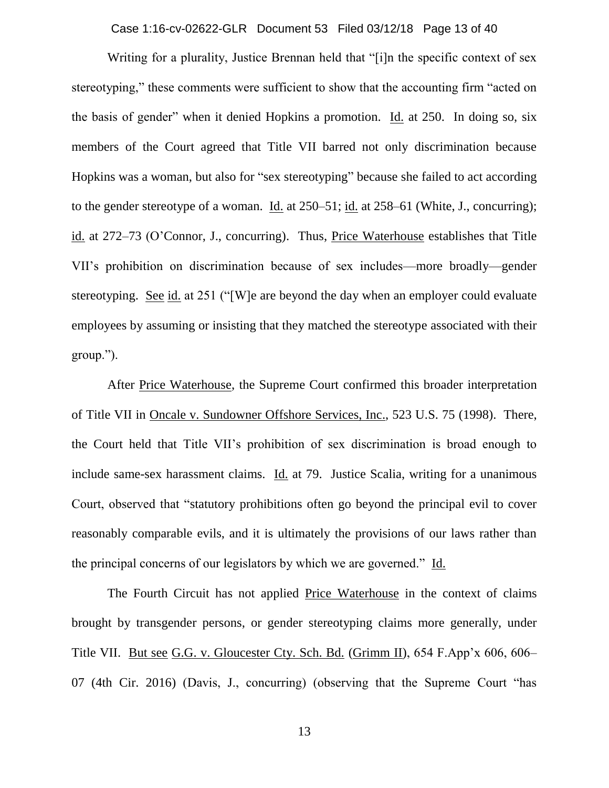Case 1:16-cv-02622-GLR Document 53 Filed 03/12/18 Page 13 of 40

Writing for a plurality, Justice Brennan held that "[i]n the specific context of sex stereotyping," these comments were sufficient to show that the accounting firm "acted on the basis of gender" when it denied Hopkins a promotion. Id. at 250. In doing so, six members of the Court agreed that Title VII barred not only discrimination because Hopkins was a woman, but also for "sex stereotyping" because she failed to act according to the gender stereotype of a woman. Id. at 250–51; id. at 258–61 (White, J., concurring); id. at 272–73 (O'Connor, J., concurring). Thus, Price Waterhouse establishes that Title VII's prohibition on discrimination because of sex includes—more broadly—gender stereotyping. See id. at 251 ("[W]e are beyond the day when an employer could evaluate employees by assuming or insisting that they matched the stereotype associated with their group.").

After Price Waterhouse, the Supreme Court confirmed this broader interpretation of Title VII in Oncale v. Sundowner Offshore Services, Inc., 523 U.S. 75 (1998). There, the Court held that Title VII's prohibition of sex discrimination is broad enough to include same-sex harassment claims. Id. at 79. Justice Scalia, writing for a unanimous Court, observed that "statutory prohibitions often go beyond the principal evil to cover reasonably comparable evils, and it is ultimately the provisions of our laws rather than the principal concerns of our legislators by which we are governed." Id.

The Fourth Circuit has not applied Price Waterhouse in the context of claims brought by transgender persons, or gender stereotyping claims more generally, under Title VII. But see G.G. v. Gloucester Cty. Sch. Bd. (Grimm II), 654 F.App'x 606, 606– 07 (4th Cir. 2016) (Davis, J., concurring) (observing that the Supreme Court "has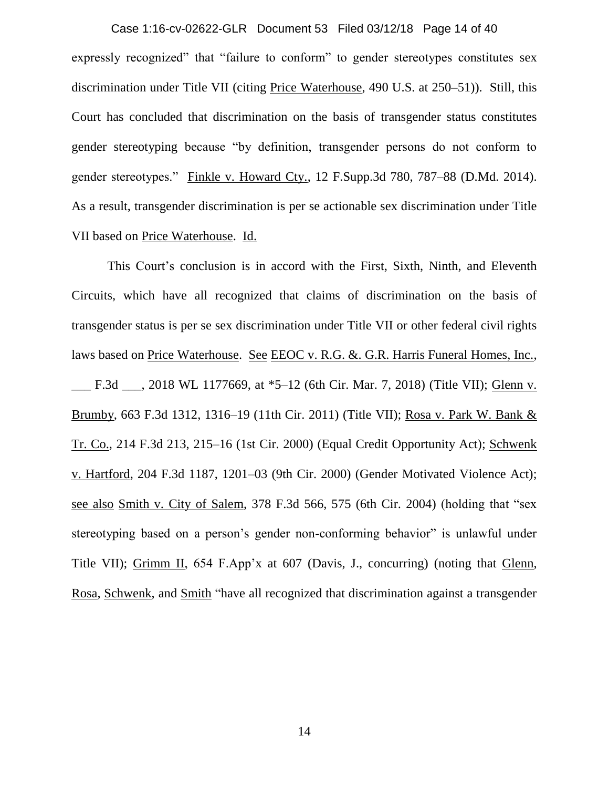expressly recognized" that "failure to conform" to gender stereotypes constitutes sex discrimination under Title VII (citing Price Waterhouse, 490 U.S. at 250–51)). Still, this Court has concluded that discrimination on the basis of transgender status constitutes gender stereotyping because "by definition, transgender persons do not conform to gender stereotypes." Finkle v. Howard Cty., 12 F.Supp.3d 780, 787–88 (D.Md. 2014). As a result, transgender discrimination is per se actionable sex discrimination under Title VII based on Price Waterhouse. Id. Case 1:16-cv-02622-GLR Document 53 Filed 03/12/18 Page 14 of 40

This Court's conclusion is in accord with the First, Sixth, Ninth, and Eleventh Circuits, which have all recognized that claims of discrimination on the basis of transgender status is per se sex discrimination under Title VII or other federal civil rights laws based on Price Waterhouse. See EEOC v. R.G. & G.R. Harris Funeral Homes, Inc., \_\_\_ F.3d \_\_\_, 2018 WL 1177669, at \*5–12 (6th Cir. Mar. 7, 2018) (Title VII); Glenn v. Brumby, 663 F.3d 1312, 1316–19 (11th Cir. 2011) (Title VII); Rosa v. Park W. Bank & Tr. Co., 214 F.3d 213, 215–16 (1st Cir. 2000) (Equal Credit Opportunity Act); Schwenk v. Hartford, 204 F.3d 1187, 1201–03 (9th Cir. 2000) (Gender Motivated Violence Act); see also Smith v. City of Salem, 378 F.3d 566, 575 (6th Cir. 2004) (holding that "sex stereotyping based on a person's gender non-conforming behavior" is unlawful under Title VII); Grimm II, 654 F.App'x at 607 (Davis, J., concurring) (noting that Glenn, Rosa, Schwenk, and Smith "have all recognized that discrimination against a transgender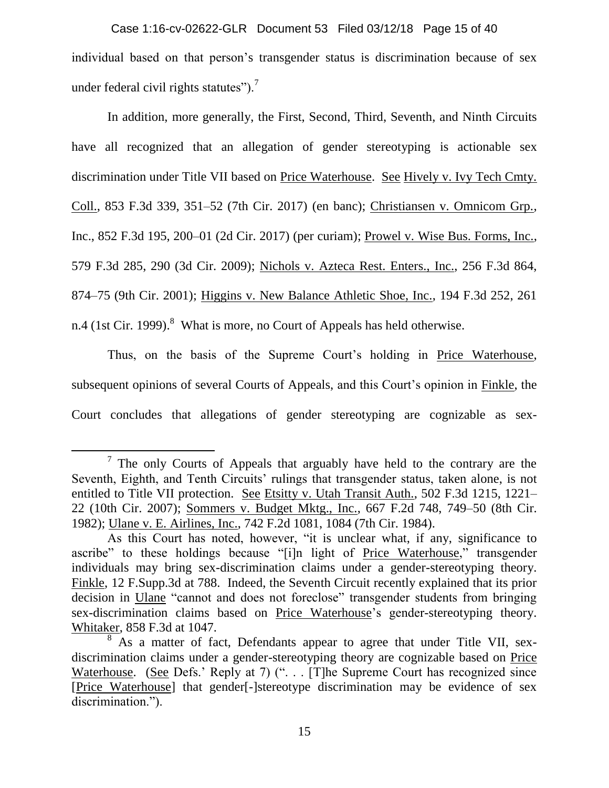individual based on that person's transgender status is discrimination because of sex under federal civil rights statutes").<sup>7</sup> Case 1:16-cv-02622-GLR Document 53 Filed 03/12/18 Page 15 of 40

In addition, more generally, the First, Second, Third, Seventh, and Ninth Circuits have all recognized that an allegation of gender stereotyping is actionable sex discrimination under Title VII based on Price Waterhouse. See Hively v. Ivy Tech Cmty. Coll., 853 F.3d 339, 351–52 (7th Cir. 2017) (en banc); Christiansen v. Omnicom Grp., Inc., 852 F.3d 195, 200–01 (2d Cir. 2017) (per curiam); Prowel v. Wise Bus. Forms, Inc., 579 F.3d 285, 290 (3d Cir. 2009); Nichols v. Azteca Rest. Enters., Inc., 256 F.3d 864, 874–75 (9th Cir. 2001); Higgins v. New Balance Athletic Shoe, Inc., 194 F.3d 252, 261 n.4 (1st Cir. 1999). $^8$  What is more, no Court of Appeals has held otherwise.

Thus, on the basis of the Supreme Court's holding in Price Waterhouse, subsequent opinions of several Courts of Appeals, and this Court's opinion in Finkle, the Court concludes that allegations of gender stereotyping are cognizable as sex-

 $\overline{\phantom{a}}$ 

 $7$  The only Courts of Appeals that arguably have held to the contrary are the Seventh, Eighth, and Tenth Circuits' rulings that transgender status, taken alone, is not entitled to Title VII protection. See Etsitty v. Utah Transit Auth., 502 F.3d 1215, 1221– 22 (10th Cir. 2007); Sommers v. Budget Mktg., Inc., 667 F.2d 748, 749–50 (8th Cir. 1982); Ulane v. E. Airlines, Inc., 742 F.2d 1081, 1084 (7th Cir. 1984).

As this Court has noted, however, "it is unclear what, if any, significance to ascribe" to these holdings because "[i]n light of Price Waterhouse," transgender individuals may bring sex-discrimination claims under a gender-stereotyping theory. Finkle, 12 F.Supp.3d at 788. Indeed, the Seventh Circuit recently explained that its prior decision in Ulane "cannot and does not foreclose" transgender students from bringing sex-discrimination claims based on Price Waterhouse's gender-stereotyping theory. Whitaker, 858 F.3d at 1047.

 $8\text{ As a matter of fact, Defendants appear to agree that under Title VII, sex-}$ discrimination claims under a gender-stereotyping theory are cognizable based on Price Waterhouse. (See Defs.' Reply at 7) (". . . [T]he Supreme Court has recognized since [Price Waterhouse] that gender[-]stereotype discrimination may be evidence of sex discrimination.").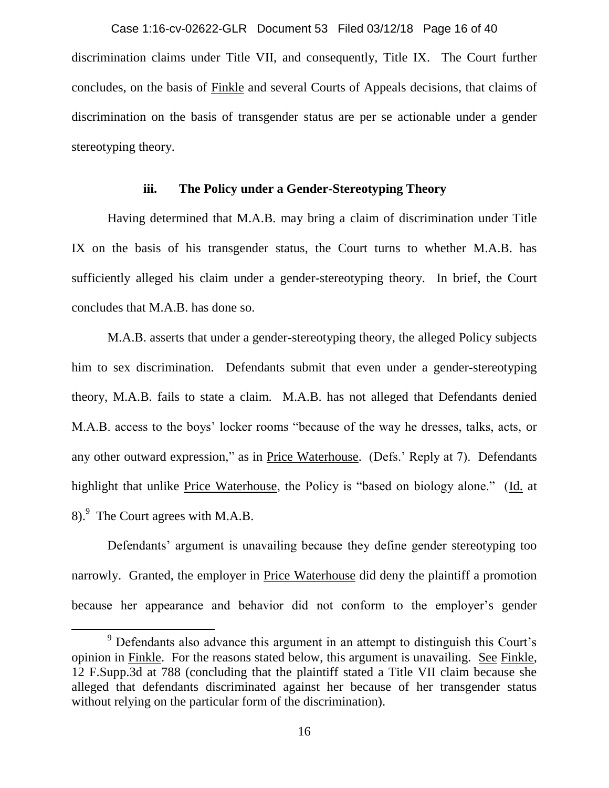discrimination claims under Title VII, and consequently, Title IX. The Court further concludes, on the basis of Finkle and several Courts of Appeals decisions, that claims of discrimination on the basis of transgender status are per se actionable under a gender stereotyping theory. Case 1:16-cv-02622-GLR Document 53 Filed 03/12/18 Page 16 of 40

### **iii. The Policy under a Gender-Stereotyping Theory**

Having determined that M.A.B. may bring a claim of discrimination under Title IX on the basis of his transgender status, the Court turns to whether M.A.B. has sufficiently alleged his claim under a gender-stereotyping theory. In brief, the Court concludes that M.A.B. has done so.

M.A.B. asserts that under a gender-stereotyping theory, the alleged Policy subjects him to sex discrimination. Defendants submit that even under a gender-stereotyping theory, M.A.B. fails to state a claim. M.A.B. has not alleged that Defendants denied M.A.B. access to the boys' locker rooms "because of the way he dresses, talks, acts, or any other outward expression," as in Price Waterhouse. (Defs.' Reply at 7). Defendants highlight that unlike Price Waterhouse, the Policy is "based on biology alone." (Id. at 8). <sup>9</sup> The Court agrees with M.A.B.

Defendants' argument is unavailing because they define gender stereotyping too narrowly. Granted, the employer in Price Waterhouse did deny the plaintiff a promotion because her appearance and behavior did not conform to the employer's gender

l

<sup>&</sup>lt;sup>9</sup> Defendants also advance this argument in an attempt to distinguish this Court's opinion in Finkle. For the reasons stated below, this argument is unavailing. See Finkle, 12 F.Supp.3d at 788 (concluding that the plaintiff stated a Title VII claim because she alleged that defendants discriminated against her because of her transgender status without relying on the particular form of the discrimination).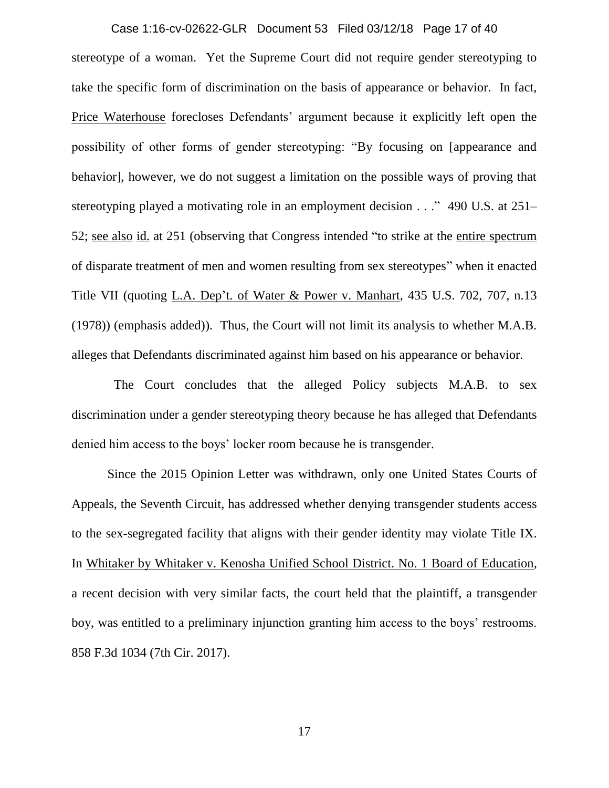stereotype of a woman. Yet the Supreme Court did not require gender stereotyping to take the specific form of discrimination on the basis of appearance or behavior. In fact, Price Waterhouse forecloses Defendants' argument because it explicitly left open the possibility of other forms of gender stereotyping: "By focusing on [appearance and behavior], however, we do not suggest a limitation on the possible ways of proving that stereotyping played a motivating role in an employment decision . . ." 490 U.S. at 251– 52; see also id. at 251 (observing that Congress intended "to strike at the entire spectrum of disparate treatment of men and women resulting from sex stereotypes" when it enacted Title VII (quoting L.A. Dep't. of Water & Power v. Manhart, 435 U.S. 702, 707, n.13 (1978)) (emphasis added)). Thus, the Court will not limit its analysis to whether M.A.B. alleges that Defendants discriminated against him based on his appearance or behavior. Case 1:16-cv-02622-GLR Document 53 Filed 03/12/18 Page 17 of 40

 The Court concludes that the alleged Policy subjects M.A.B. to sex discrimination under a gender stereotyping theory because he has alleged that Defendants denied him access to the boys' locker room because he is transgender.

Since the 2015 Opinion Letter was withdrawn, only one United States Courts of Appeals, the Seventh Circuit, has addressed whether denying transgender students access to the sex-segregated facility that aligns with their gender identity may violate Title IX. In Whitaker by Whitaker v. Kenosha Unified School District. No. 1 Board of Education, a recent decision with very similar facts, the court held that the plaintiff, a transgender boy, was entitled to a preliminary injunction granting him access to the boys' restrooms. 858 F.3d 1034 (7th Cir. 2017).

17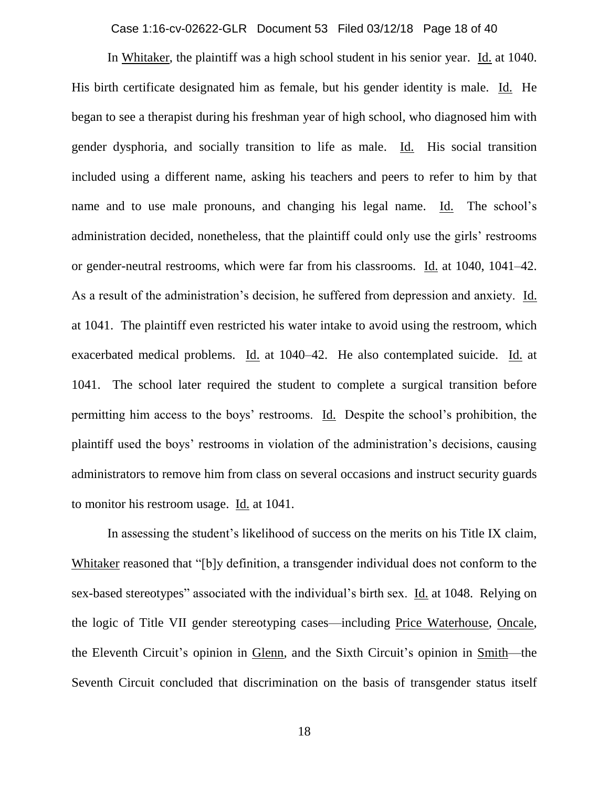Case 1:16-cv-02622-GLR Document 53 Filed 03/12/18 Page 18 of 40

In Whitaker, the plaintiff was a high school student in his senior year. Id. at 1040. His birth certificate designated him as female, but his gender identity is male. Id. He began to see a therapist during his freshman year of high school, who diagnosed him with gender dysphoria, and socially transition to life as male. Id. His social transition included using a different name, asking his teachers and peers to refer to him by that name and to use male pronouns, and changing his legal name. Id. The school's administration decided, nonetheless, that the plaintiff could only use the girls' restrooms or gender-neutral restrooms, which were far from his classrooms. Id. at 1040, 1041–42. As a result of the administration's decision, he suffered from depression and anxiety. Id. at 1041. The plaintiff even restricted his water intake to avoid using the restroom, which exacerbated medical problems. Id. at 1040–42. He also contemplated suicide. Id. at 1041. The school later required the student to complete a surgical transition before permitting him access to the boys' restrooms. Id. Despite the school's prohibition, the plaintiff used the boys' restrooms in violation of the administration's decisions, causing administrators to remove him from class on several occasions and instruct security guards to monitor his restroom usage. Id. at 1041.

In assessing the student's likelihood of success on the merits on his Title IX claim, Whitaker reasoned that "[b]y definition, a transgender individual does not conform to the sex-based stereotypes" associated with the individual's birth sex. Id. at 1048. Relying on the logic of Title VII gender stereotyping cases—including Price Waterhouse, Oncale, the Eleventh Circuit's opinion in Glenn, and the Sixth Circuit's opinion in Smith—the Seventh Circuit concluded that discrimination on the basis of transgender status itself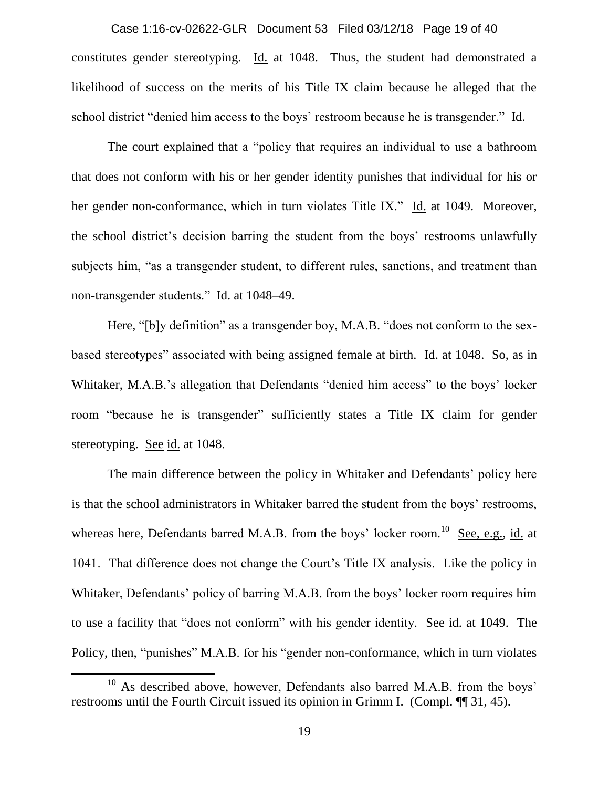constitutes gender stereotyping. Id. at 1048. Thus, the student had demonstrated a likelihood of success on the merits of his Title IX claim because he alleged that the school district "denied him access to the boys' restroom because he is transgender." Id. Case 1:16-cv-02622-GLR Document 53 Filed 03/12/18 Page 19 of 40

The court explained that a "policy that requires an individual to use a bathroom that does not conform with his or her gender identity punishes that individual for his or her gender non-conformance, which in turn violates Title IX." Id. at 1049. Moreover, the school district's decision barring the student from the boys' restrooms unlawfully subjects him, "as a transgender student, to different rules, sanctions, and treatment than non-transgender students." Id. at 1048–49.

Here, "[b]y definition" as a transgender boy, M.A.B. "does not conform to the sexbased stereotypes" associated with being assigned female at birth. Id. at 1048. So, as in Whitaker, M.A.B.'s allegation that Defendants "denied him access" to the boys' locker room "because he is transgender" sufficiently states a Title IX claim for gender stereotyping. See id. at 1048.

The main difference between the policy in Whitaker and Defendants' policy here is that the school administrators in Whitaker barred the student from the boys' restrooms, whereas here, Defendants barred M.A.B. from the boys' locker room.<sup>10</sup> See, e.g., id. at 1041. That difference does not change the Court's Title IX analysis. Like the policy in Whitaker, Defendants' policy of barring M.A.B. from the boys' locker room requires him to use a facility that "does not conform" with his gender identity. See id. at 1049. The Policy, then, "punishes" M.A.B. for his "gender non-conformance, which in turn violates

 $\overline{a}$ 

<sup>&</sup>lt;sup>10</sup> As described above, however, Defendants also barred M.A.B. from the boys' restrooms until the Fourth Circuit issued its opinion in Grimm I. (Compl. ¶¶ 31, 45).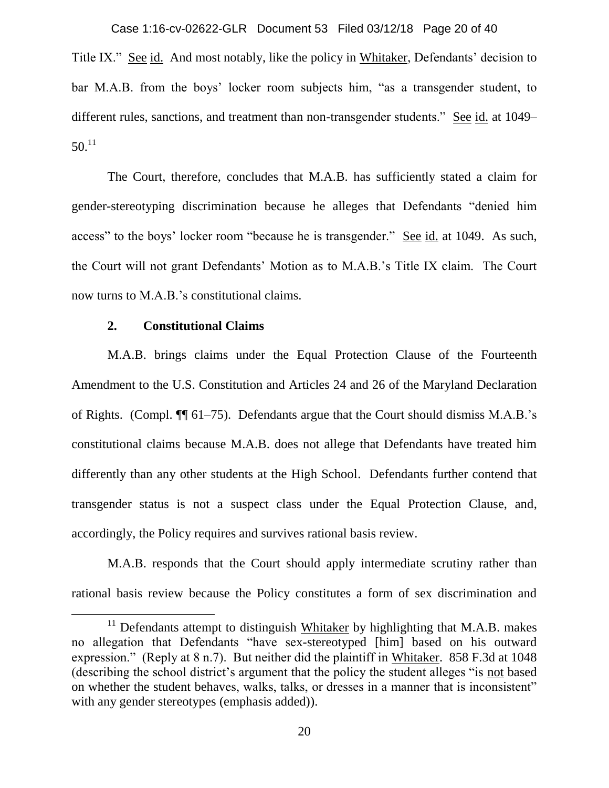Case 1:16-cv-02622-GLR Document 53 Filed 03/12/18 Page 20 of 40

Title IX." See id. And most notably, like the policy in Whitaker, Defendants' decision to bar M.A.B. from the boys' locker room subjects him, "as a transgender student, to different rules, sanctions, and treatment than non-transgender students." See id. at 1049–  $50.<sup>11</sup>$ 

The Court, therefore, concludes that M.A.B. has sufficiently stated a claim for gender-stereotyping discrimination because he alleges that Defendants "denied him access" to the boys' locker room "because he is transgender." See id. at 1049. As such, the Court will not grant Defendants' Motion as to M.A.B.'s Title IX claim. The Court now turns to M.A.B.'s constitutional claims.

# **2. Constitutional Claims**

 $\overline{\phantom{a}}$ 

M.A.B. brings claims under the Equal Protection Clause of the Fourteenth Amendment to the U.S. Constitution and Articles 24 and 26 of the Maryland Declaration of Rights. (Compl. ¶¶ 61–75). Defendants argue that the Court should dismiss M.A.B.'s constitutional claims because M.A.B. does not allege that Defendants have treated him differently than any other students at the High School. Defendants further contend that transgender status is not a suspect class under the Equal Protection Clause, and, accordingly, the Policy requires and survives rational basis review.

M.A.B. responds that the Court should apply intermediate scrutiny rather than rational basis review because the Policy constitutes a form of sex discrimination and

 $11$  Defendants attempt to distinguish Whitaker by highlighting that M.A.B. makes no allegation that Defendants "have sex-stereotyped [him] based on his outward expression." (Reply at 8 n.7). But neither did the plaintiff in Whitaker. 858 F.3d at 1048 (describing the school district's argument that the policy the student alleges "is not based on whether the student behaves, walks, talks, or dresses in a manner that is inconsistent" with any gender stereotypes (emphasis added)).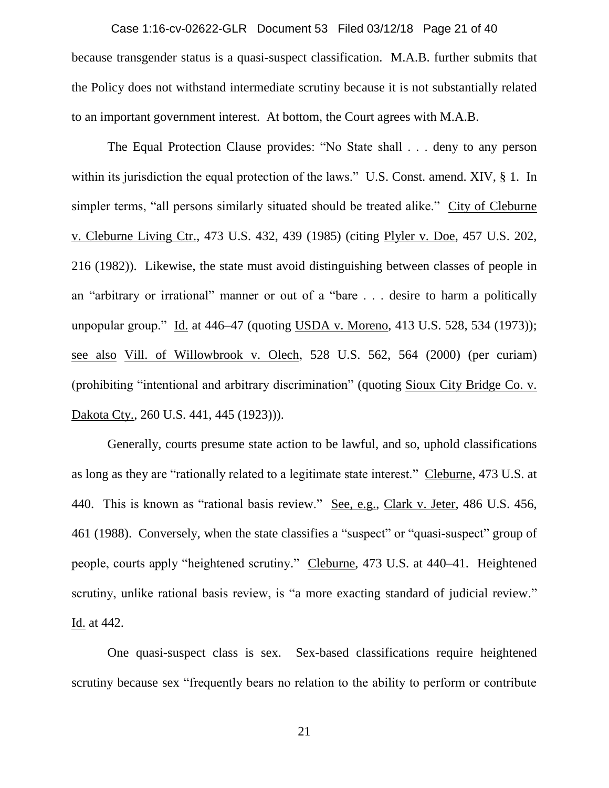because transgender status is a quasi-suspect classification. M.A.B. further submits that the Policy does not withstand intermediate scrutiny because it is not substantially related to an important government interest. At bottom, the Court agrees with M.A.B. Case 1:16-cv-02622-GLR Document 53 Filed 03/12/18 Page 21 of 40

The Equal Protection Clause provides: "No State shall . . . deny to any person within its jurisdiction the equal protection of the laws." U.S. Const. amend. XIV, § 1. In simpler terms, "all persons similarly situated should be treated alike." City of Cleburne v. Cleburne Living Ctr., 473 U.S. 432, 439 (1985) (citing Plyler v. Doe, 457 U.S. 202, 216 (1982)). Likewise, the state must avoid distinguishing between classes of people in an "arbitrary or irrational" manner or out of a "bare . . . desire to harm a politically unpopular group." Id. at 446–47 (quoting USDA v. Moreno, 413 U.S. 528, 534 (1973)); see also Vill. of Willowbrook v. Olech, 528 U.S. 562, 564 (2000) (per curiam) (prohibiting "intentional and arbitrary discrimination" (quoting Sioux City Bridge Co. v. Dakota Cty., 260 U.S. 441, 445 (1923))).

Generally, courts presume state action to be lawful, and so, uphold classifications as long as they are "rationally related to a legitimate state interest." Cleburne, 473 U.S. at 440. This is known as "rational basis review." See, e.g., Clark v. Jeter, 486 U.S. 456, 461 (1988). Conversely, when the state classifies a "suspect" or "quasi-suspect" group of people, courts apply "heightened scrutiny." Cleburne, 473 U.S. at 440–41. Heightened scrutiny, unlike rational basis review, is "a more exacting standard of judicial review." Id. at 442.

One quasi-suspect class is sex. Sex-based classifications require heightened scrutiny because sex "frequently bears no relation to the ability to perform or contribute

21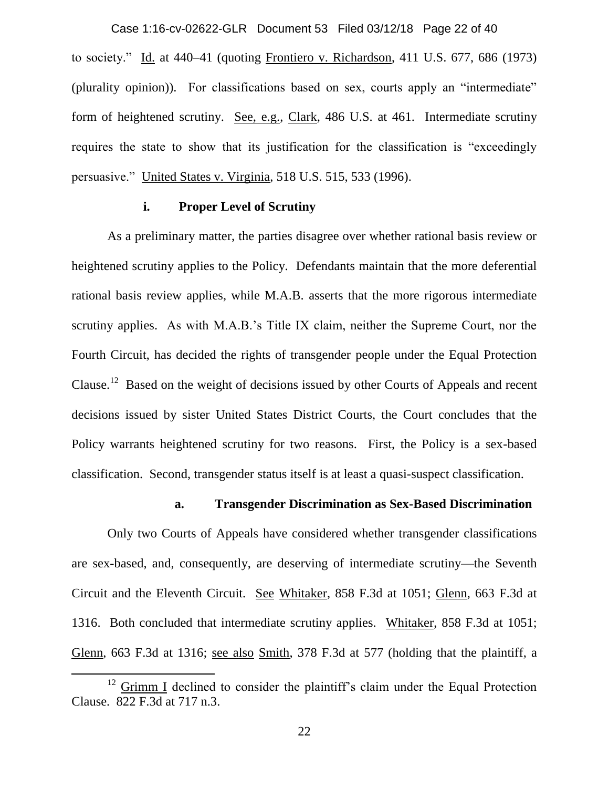to society." Id. at 440–41 (quoting Frontiero v. Richardson, 411 U.S. 677, 686 (1973) (plurality opinion)). For classifications based on sex, courts apply an "intermediate" form of heightened scrutiny. See, e.g., Clark, 486 U.S. at 461. Intermediate scrutiny requires the state to show that its justification for the classification is "exceedingly persuasive." United States v. Virginia, 518 U.S. 515, 533 (1996). Case 1:16-cv-02622-GLR Document 53 Filed 03/12/18 Page 22 of 40

#### **i. Proper Level of Scrutiny**

As a preliminary matter, the parties disagree over whether rational basis review or heightened scrutiny applies to the Policy. Defendants maintain that the more deferential rational basis review applies, while M.A.B. asserts that the more rigorous intermediate scrutiny applies. As with M.A.B.'s Title IX claim, neither the Supreme Court, nor the Fourth Circuit, has decided the rights of transgender people under the Equal Protection Clause.<sup>12</sup> Based on the weight of decisions issued by other Courts of Appeals and recent decisions issued by sister United States District Courts, the Court concludes that the Policy warrants heightened scrutiny for two reasons. First, the Policy is a sex-based classification. Second, transgender status itself is at least a quasi-suspect classification.

#### **a. Transgender Discrimination as Sex-Based Discrimination**

Only two Courts of Appeals have considered whether transgender classifications are sex-based, and, consequently, are deserving of intermediate scrutiny—the Seventh Circuit and the Eleventh Circuit. See Whitaker, 858 F.3d at 1051; Glenn, 663 F.3d at 1316. Both concluded that intermediate scrutiny applies. Whitaker, 858 F.3d at 1051; Glenn, 663 F.3d at 1316; see also Smith, 378 F.3d at 577 (holding that the plaintiff, a

 $\overline{a}$ 

 $12$  Grimm I declined to consider the plaintiff's claim under the Equal Protection Clause. 822 F.3d at 717 n.3.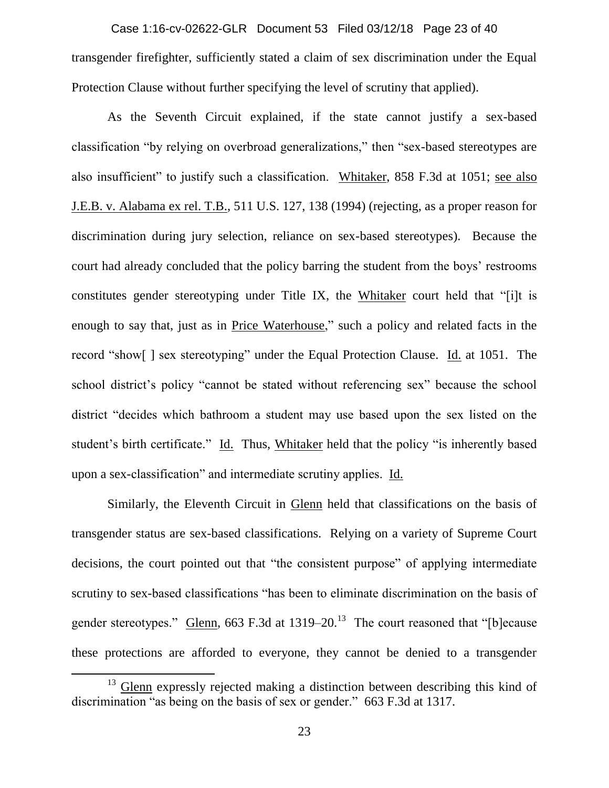transgender firefighter, sufficiently stated a claim of sex discrimination under the Equal Protection Clause without further specifying the level of scrutiny that applied). Case 1:16-cv-02622-GLR Document 53 Filed 03/12/18 Page 23 of 40

As the Seventh Circuit explained, if the state cannot justify a sex-based classification "by relying on overbroad generalizations," then "sex-based stereotypes are also insufficient" to justify such a classification. Whitaker, 858 F.3d at 1051; see also J.E.B. v. Alabama ex rel. T.B., 511 U.S. 127, 138 (1994) (rejecting, as a proper reason for discrimination during jury selection, reliance on sex-based stereotypes). Because the court had already concluded that the policy barring the student from the boys' restrooms constitutes gender stereotyping under Title IX, the Whitaker court held that "[i]t is enough to say that, just as in Price Waterhouse," such a policy and related facts in the record "show[ ] sex stereotyping" under the Equal Protection Clause. Id. at 1051. The school district's policy "cannot be stated without referencing sex" because the school district "decides which bathroom a student may use based upon the sex listed on the student's birth certificate." Id. Thus, Whitaker held that the policy "is inherently based upon a sex-classification" and intermediate scrutiny applies. Id.

Similarly, the Eleventh Circuit in Glenn held that classifications on the basis of transgender status are sex-based classifications. Relying on a variety of Supreme Court decisions, the court pointed out that "the consistent purpose" of applying intermediate scrutiny to sex-based classifications "has been to eliminate discrimination on the basis of gender stereotypes." **Glenn**, 663 F.3d at 1319–20.<sup>13</sup> The court reasoned that "[b]ecause these protections are afforded to everyone, they cannot be denied to a transgender

 $\overline{a}$ 

 $13$  Glenn expressly rejected making a distinction between describing this kind of discrimination "as being on the basis of sex or gender." 663 F.3d at 1317.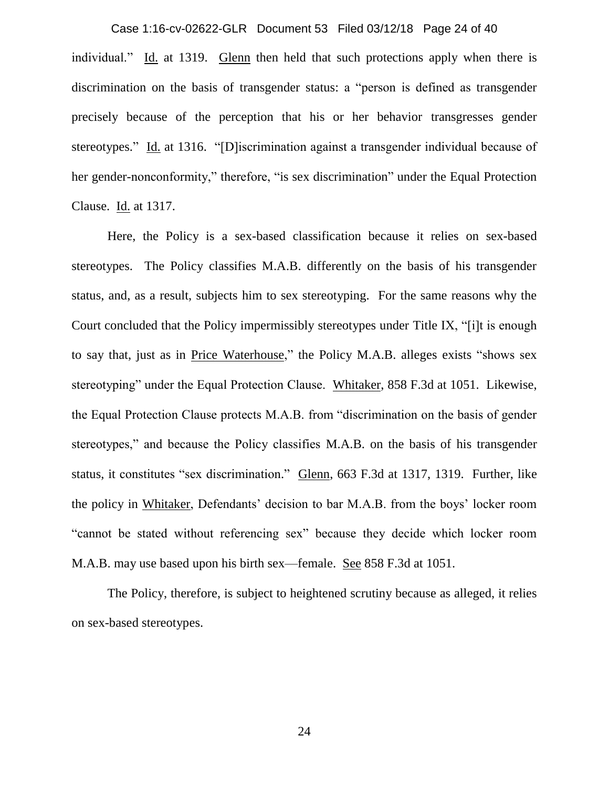individual." Id. at 1319. Glenn then held that such protections apply when there is discrimination on the basis of transgender status: a "person is defined as transgender precisely because of the perception that his or her behavior transgresses gender stereotypes." Id. at 1316. "[D]iscrimination against a transgender individual because of her gender-nonconformity," therefore, "is sex discrimination" under the Equal Protection Clause. Id. at 1317. Case 1:16-cv-02622-GLR Document 53 Filed 03/12/18 Page 24 of 40

Here, the Policy is a sex-based classification because it relies on sex-based stereotypes. The Policy classifies M.A.B. differently on the basis of his transgender status, and, as a result, subjects him to sex stereotyping. For the same reasons why the Court concluded that the Policy impermissibly stereotypes under Title IX, "[i]t is enough to say that, just as in Price Waterhouse," the Policy M.A.B. alleges exists "shows sex stereotyping" under the Equal Protection Clause. Whitaker, 858 F.3d at 1051. Likewise, the Equal Protection Clause protects M.A.B. from "discrimination on the basis of gender stereotypes," and because the Policy classifies M.A.B. on the basis of his transgender status, it constitutes "sex discrimination." Glenn, 663 F.3d at 1317, 1319. Further, like the policy in Whitaker, Defendants' decision to bar M.A.B. from the boys' locker room "cannot be stated without referencing sex" because they decide which locker room M.A.B. may use based upon his birth sex—female. See 858 F.3d at 1051.

The Policy, therefore, is subject to heightened scrutiny because as alleged, it relies on sex-based stereotypes.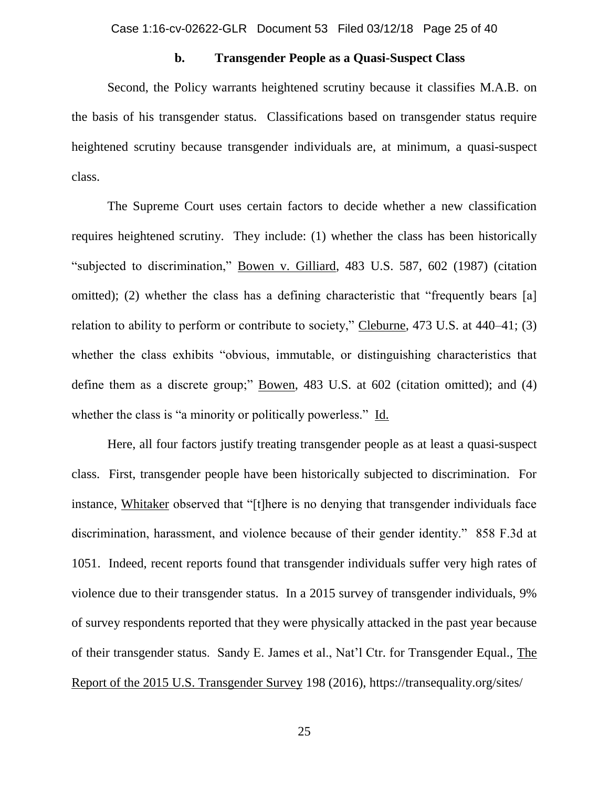#### **b. Transgender People as a Quasi-Suspect Class**

Second, the Policy warrants heightened scrutiny because it classifies M.A.B. on the basis of his transgender status. Classifications based on transgender status require heightened scrutiny because transgender individuals are, at minimum, a quasi-suspect class.

The Supreme Court uses certain factors to decide whether a new classification requires heightened scrutiny. They include: (1) whether the class has been historically "subjected to discrimination," Bowen v. Gilliard, 483 U.S. 587, 602 (1987) (citation omitted); (2) whether the class has a defining characteristic that "frequently bears [a] relation to ability to perform or contribute to society," Cleburne, 473 U.S. at 440–41; (3) whether the class exhibits "obvious, immutable, or distinguishing characteristics that define them as a discrete group;" Bowen, 483 U.S. at 602 (citation omitted); and (4) whether the class is "a minority or politically powerless." Id.

Here, all four factors justify treating transgender people as at least a quasi-suspect class. First, transgender people have been historically subjected to discrimination. For instance, Whitaker observed that "[t]here is no denying that transgender individuals face discrimination, harassment, and violence because of their gender identity." 858 F.3d at 1051. Indeed, recent reports found that transgender individuals suffer very high rates of violence due to their transgender status. In a 2015 survey of transgender individuals, 9% of survey respondents reported that they were physically attacked in the past year because of their transgender status. Sandy E. James et al., Nat'l Ctr. for Transgender Equal., The Report of the 2015 U.S. Transgender Survey 198 (2016), https://transequality.org/sites/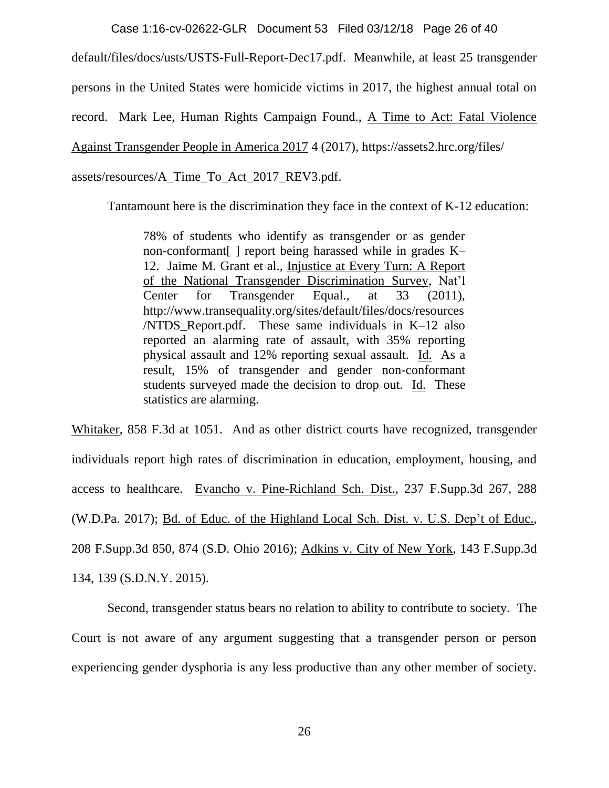Case 1:16-cv-02622-GLR Document 53 Filed 03/12/18 Page 26 of 40

default/files/docs/usts/USTS-Full-Report-Dec17.pdf. Meanwhile, at least 25 transgender persons in the United States were homicide victims in 2017, the highest annual total on record. Mark Lee, Human Rights Campaign Found., A Time to Act: Fatal Violence Against Transgender People in America 2017 4 (2017), https://assets2.hrc.org/files/ assets/resources/A\_Time\_To\_Act\_2017\_REV3.pdf.

Tantamount here is the discrimination they face in the context of K-12 education:

78% of students who identify as transgender or as gender non-conformant[ ] report being harassed while in grades K– 12. Jaime M. Grant et al., Injustice at Every Turn: A Report of the National Transgender Discrimination Survey, Nat'l Center for Transgender Equal., at 33 (2011), http://www.transequality.org/sites/default/files/docs/resources /NTDS\_Report.pdf. These same individuals in K–12 also reported an alarming rate of assault, with 35% reporting physical assault and 12% reporting sexual assault. Id. As a result, 15% of transgender and gender non-conformant students surveyed made the decision to drop out. Id. These statistics are alarming.

Whitaker, 858 F.3d at 1051. And as other district courts have recognized, transgender individuals report high rates of discrimination in education, employment, housing, and access to healthcare. Evancho v. Pine-Richland Sch. Dist., 237 F.Supp.3d 267, 288 (W.D.Pa. 2017); Bd. of Educ. of the Highland Local Sch. Dist. v. U.S. Dep't of Educ., 208 F.Supp.3d 850, 874 (S.D. Ohio 2016); Adkins v. City of New York, 143 F.Supp.3d 134, 139 (S.D.N.Y. 2015).

Second, transgender status bears no relation to ability to contribute to society. The Court is not aware of any argument suggesting that a transgender person or person experiencing gender dysphoria is any less productive than any other member of society.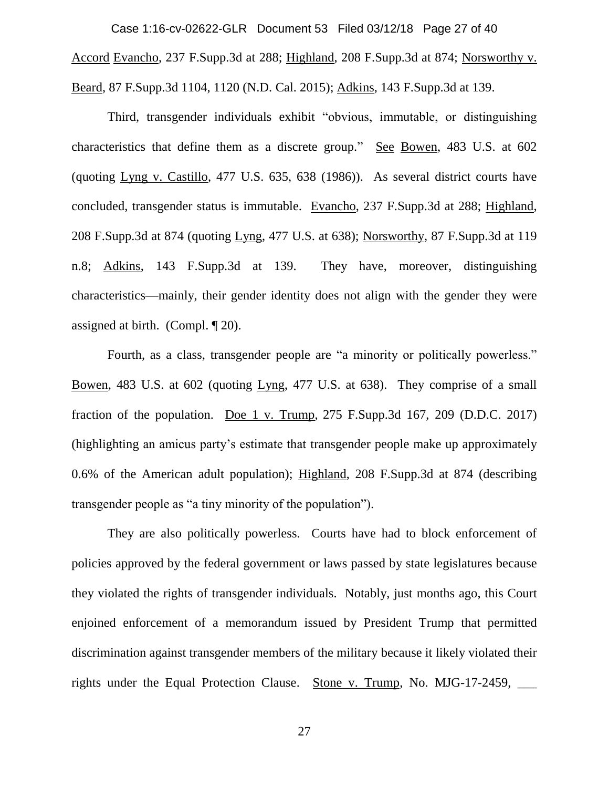Accord Evancho, 237 F.Supp.3d at 288; Highland, 208 F.Supp.3d at 874; Norsworthy v. Beard, 87 F.Supp.3d 1104, 1120 (N.D. Cal. 2015); Adkins, 143 F.Supp.3d at 139. Case 1:16-cv-02622-GLR Document 53 Filed 03/12/18 Page 27 of 40

Third, transgender individuals exhibit "obvious, immutable, or distinguishing characteristics that define them as a discrete group." See Bowen, 483 U.S. at 602 (quoting Lyng v. Castillo, 477 U.S. 635, 638 (1986)). As several district courts have concluded, transgender status is immutable. Evancho, 237 F.Supp.3d at 288; Highland, 208 F.Supp.3d at 874 (quoting Lyng, 477 U.S. at 638); Norsworthy, 87 F.Supp.3d at 119 n.8; Adkins, 143 F.Supp.3d at 139. They have, moreover, distinguishing characteristics—mainly, their gender identity does not align with the gender they were assigned at birth. (Compl. ¶ 20).

Fourth, as a class, transgender people are "a minority or politically powerless." Bowen, 483 U.S. at 602 (quoting Lyng, 477 U.S. at 638). They comprise of a small fraction of the population. Doe 1 v. Trump,  $275$  F.Supp.3d  $167$ ,  $209$  (D.D.C.  $2017$ ) (highlighting an amicus party's estimate that transgender people make up approximately 0.6% of the American adult population); Highland, 208 F.Supp.3d at 874 (describing transgender people as "a tiny minority of the population").

They are also politically powerless. Courts have had to block enforcement of policies approved by the federal government or laws passed by state legislatures because they violated the rights of transgender individuals. Notably, just months ago, this Court enjoined enforcement of a memorandum issued by President Trump that permitted discrimination against transgender members of the military because it likely violated their rights under the Equal Protection Clause. Stone v. Trump, No. MJG-17-2459, \_\_\_\_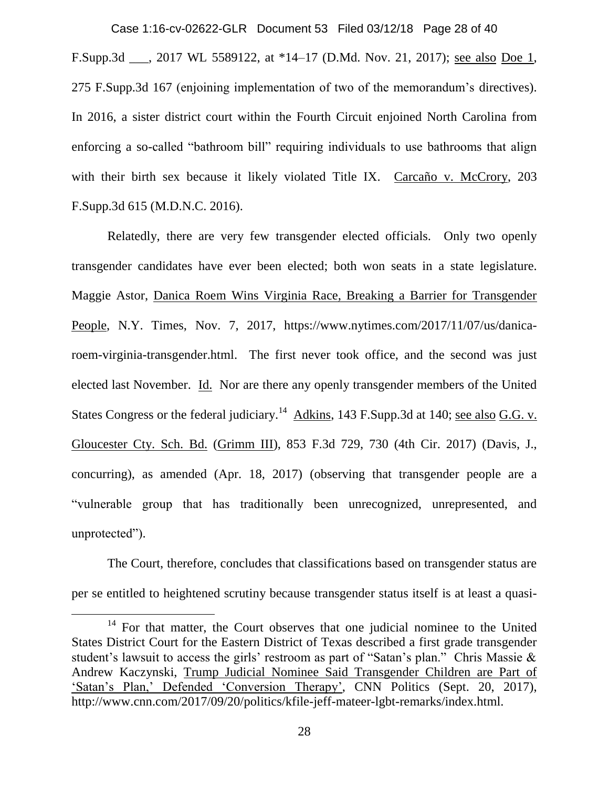F.Supp.3d \_\_\_, 2017 WL 5589122, at \*14–17 (D.Md. Nov. 21, 2017); see also Doe 1, 275 F.Supp.3d 167 (enjoining implementation of two of the memorandum's directives). In 2016, a sister district court within the Fourth Circuit enjoined North Carolina from enforcing a so-called "bathroom bill" requiring individuals to use bathrooms that align with their birth sex because it likely violated Title IX. Carcaño v. McCrory, 203 F.Supp.3d 615 (M.D.N.C. 2016). Case 1:16-cv-02622-GLR Document 53 Filed 03/12/18 Page 28 of 40

Relatedly, there are very few transgender elected officials. Only two openly transgender candidates have ever been elected; both won seats in a state legislature. Maggie Astor, Danica Roem Wins Virginia Race, Breaking a Barrier for Transgender People, N.Y. Times, Nov. 7, 2017, https://www.nytimes.com/2017/11/07/us/danicaroem-virginia-transgender.html. The first never took office, and the second was just elected last November. Id. Nor are there any openly transgender members of the United States Congress or the federal judiciary.<sup>14</sup> Adkins, 143 F.Supp.3d at 140; see also G.G. v. Gloucester Cty. Sch. Bd. (Grimm III), 853 F.3d 729, 730 (4th Cir. 2017) (Davis, J., concurring), as amended (Apr. 18, 2017) (observing that transgender people are a "vulnerable group that has traditionally been unrecognized, unrepresented, and unprotected").

The Court, therefore, concludes that classifications based on transgender status are per se entitled to heightened scrutiny because transgender status itself is at least a quasi-

 $\overline{\phantom{a}}$ 

<sup>&</sup>lt;sup>14</sup> For that matter, the Court observes that one judicial nominee to the United States District Court for the Eastern District of Texas described a first grade transgender student's lawsuit to access the girls' restroom as part of "Satan's plan." Chris Massie & Andrew Kaczynski, Trump Judicial Nominee Said Transgender Children are Part of 'Satan's Plan,' Defended 'Conversion Therapy', CNN Politics (Sept. 20, 2017), http://www.cnn.com/2017/09/20/politics/kfile-jeff-mateer-lgbt-remarks/index.html.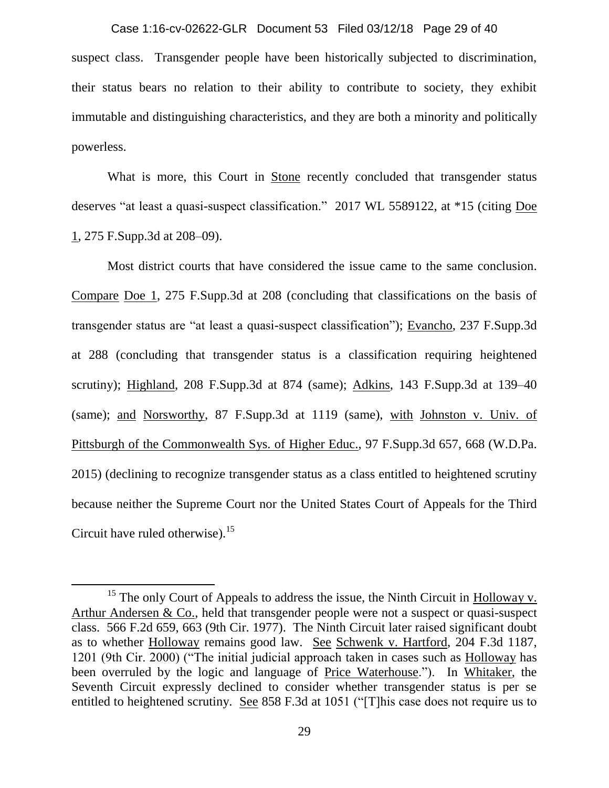suspect class. Transgender people have been historically subjected to discrimination, their status bears no relation to their ability to contribute to society, they exhibit immutable and distinguishing characteristics, and they are both a minority and politically powerless. Case 1:16-cv-02622-GLR Document 53 Filed 03/12/18 Page 29 of 40

What is more, this Court in Stone recently concluded that transgender status deserves "at least a quasi-suspect classification." 2017 WL 5589122, at \*15 (citing Doe 1, 275 F.Supp.3d at 208–09).

Most district courts that have considered the issue came to the same conclusion. Compare Doe 1, 275 F.Supp.3d at 208 (concluding that classifications on the basis of transgender status are "at least a quasi-suspect classification"); Evancho, 237 F.Supp.3d at 288 (concluding that transgender status is a classification requiring heightened scrutiny); Highland, 208 F.Supp.3d at 874 (same); Adkins, 143 F.Supp.3d at 139–40 (same); and Norsworthy, 87 F.Supp.3d at 1119 (same), with Johnston v. Univ. of Pittsburgh of the Commonwealth Sys. of Higher Educ., 97 F.Supp.3d 657, 668 (W.D.Pa. 2015) (declining to recognize transgender status as a class entitled to heightened scrutiny because neither the Supreme Court nor the United States Court of Appeals for the Third Circuit have ruled otherwise).<sup>15</sup>

 $\overline{\phantom{a}}$ 

<sup>&</sup>lt;sup>15</sup> The only Court of Appeals to address the issue, the Ninth Circuit in Holloway v. Arthur Andersen & Co., held that transgender people were not a suspect or quasi-suspect class. 566 F.2d 659, 663 (9th Cir. 1977). The Ninth Circuit later raised significant doubt as to whether Holloway remains good law. See Schwenk v. Hartford, 204 F.3d 1187, 1201 (9th Cir. 2000) ("The initial judicial approach taken in cases such as Holloway has been overruled by the logic and language of Price Waterhouse."). In Whitaker, the Seventh Circuit expressly declined to consider whether transgender status is per se entitled to heightened scrutiny. See 858 F.3d at 1051 ("[T]his case does not require us to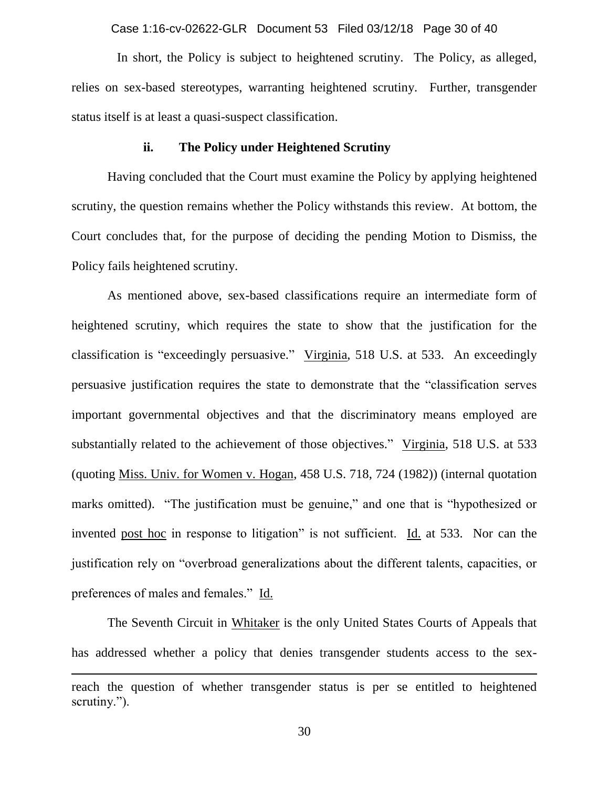Case 1:16-cv-02622-GLR Document 53 Filed 03/12/18 Page 30 of 40

 In short, the Policy is subject to heightened scrutiny. The Policy, as alleged, relies on sex-based stereotypes, warranting heightened scrutiny. Further, transgender status itself is at least a quasi-suspect classification.

#### **ii. The Policy under Heightened Scrutiny**

Having concluded that the Court must examine the Policy by applying heightened scrutiny, the question remains whether the Policy withstands this review. At bottom, the Court concludes that, for the purpose of deciding the pending Motion to Dismiss, the Policy fails heightened scrutiny.

As mentioned above, sex-based classifications require an intermediate form of heightened scrutiny, which requires the state to show that the justification for the classification is "exceedingly persuasive." Virginia, 518 U.S. at 533. An exceedingly persuasive justification requires the state to demonstrate that the "classification serves important governmental objectives and that the discriminatory means employed are substantially related to the achievement of those objectives." Virginia, 518 U.S. at 533 (quoting Miss. Univ. for Women v. Hogan, 458 U.S. 718, 724 (1982)) (internal quotation marks omitted). "The justification must be genuine," and one that is "hypothesized or invented post hoc in response to litigation" is not sufficient. Id. at 533. Nor can the justification rely on "overbroad generalizations about the different talents, capacities, or preferences of males and females." Id.

The Seventh Circuit in Whitaker is the only United States Courts of Appeals that has addressed whether a policy that denies transgender students access to the sex-

 $\overline{a}$ 

reach the question of whether transgender status is per se entitled to heightened scrutiny.").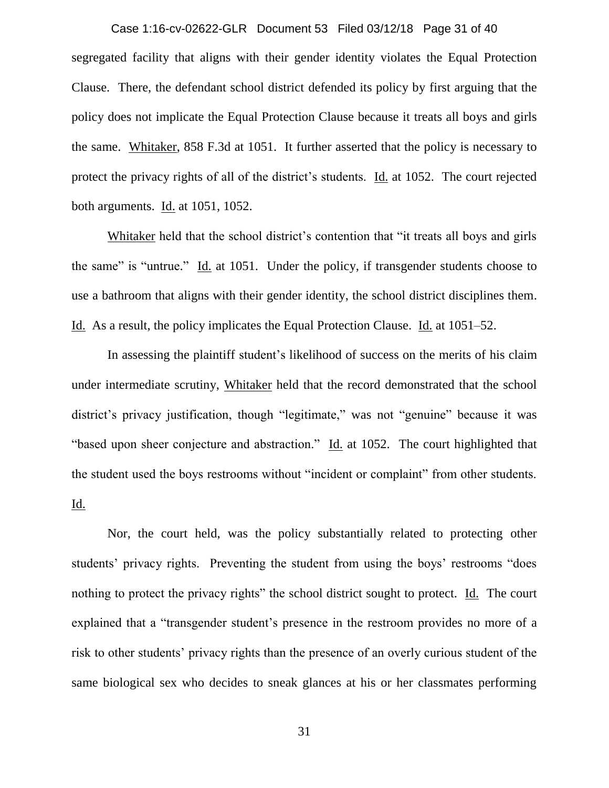segregated facility that aligns with their gender identity violates the Equal Protection Clause. There, the defendant school district defended its policy by first arguing that the policy does not implicate the Equal Protection Clause because it treats all boys and girls the same. Whitaker, 858 F.3d at 1051. It further asserted that the policy is necessary to protect the privacy rights of all of the district's students. Id. at 1052. The court rejected both arguments. Id. at 1051, 1052. Case 1:16-cv-02622-GLR Document 53 Filed 03/12/18 Page 31 of 40

Whitaker held that the school district's contention that "it treats all boys and girls the same" is "untrue." Id. at 1051. Under the policy, if transgender students choose to use a bathroom that aligns with their gender identity, the school district disciplines them. Id. As a result, the policy implicates the Equal Protection Clause. Id. at 1051–52.

In assessing the plaintiff student's likelihood of success on the merits of his claim under intermediate scrutiny, Whitaker held that the record demonstrated that the school district's privacy justification, though "legitimate," was not "genuine" because it was "based upon sheer conjecture and abstraction." Id. at 1052. The court highlighted that the student used the boys restrooms without "incident or complaint" from other students. Id.

Nor, the court held, was the policy substantially related to protecting other students' privacy rights. Preventing the student from using the boys' restrooms "does nothing to protect the privacy rights" the school district sought to protect. Id. The court explained that a "transgender student's presence in the restroom provides no more of a risk to other students' privacy rights than the presence of an overly curious student of the same biological sex who decides to sneak glances at his or her classmates performing

31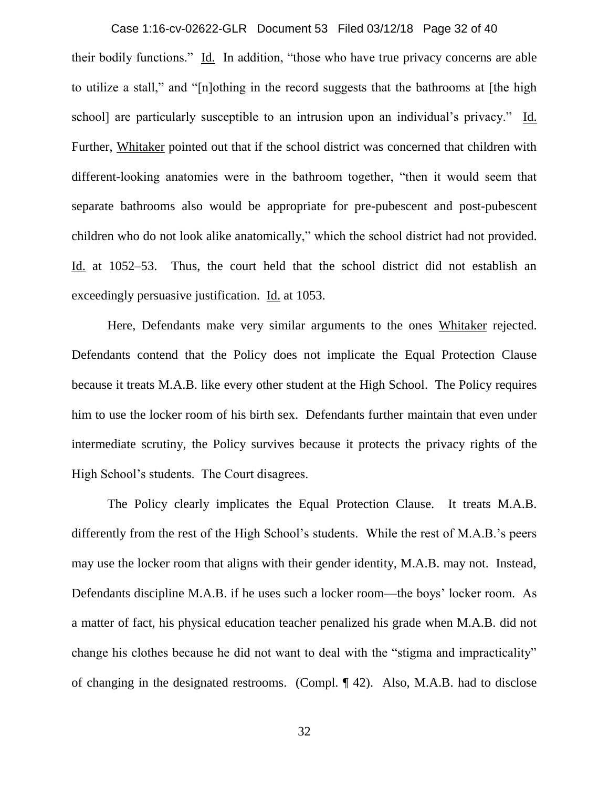their bodily functions." Id. In addition, "those who have true privacy concerns are able to utilize a stall," and "[n]othing in the record suggests that the bathrooms at [the high school] are particularly susceptible to an intrusion upon an individual's privacy." Id. Further, Whitaker pointed out that if the school district was concerned that children with different-looking anatomies were in the bathroom together, "then it would seem that separate bathrooms also would be appropriate for pre-pubescent and post-pubescent children who do not look alike anatomically," which the school district had not provided. Id. at 1052–53. Thus, the court held that the school district did not establish an exceedingly persuasive justification. Id. at 1053. Case 1:16-cv-02622-GLR Document 53 Filed 03/12/18 Page 32 of 40

Here, Defendants make very similar arguments to the ones Whitaker rejected. Defendants contend that the Policy does not implicate the Equal Protection Clause because it treats M.A.B. like every other student at the High School. The Policy requires him to use the locker room of his birth sex. Defendants further maintain that even under intermediate scrutiny, the Policy survives because it protects the privacy rights of the High School's students. The Court disagrees.

The Policy clearly implicates the Equal Protection Clause. It treats M.A.B. differently from the rest of the High School's students. While the rest of M.A.B.'s peers may use the locker room that aligns with their gender identity, M.A.B. may not. Instead, Defendants discipline M.A.B. if he uses such a locker room—the boys' locker room. As a matter of fact, his physical education teacher penalized his grade when M.A.B. did not change his clothes because he did not want to deal with the "stigma and impracticality" of changing in the designated restrooms. (Compl. ¶ 42). Also, M.A.B. had to disclose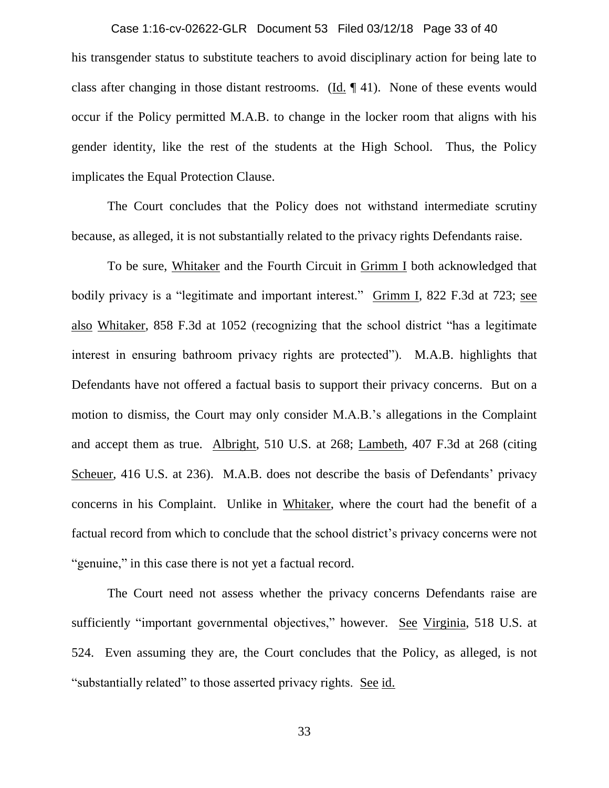# Case 1:16-cv-02622-GLR Document 53 Filed 03/12/18 Page 33 of 40

his transgender status to substitute teachers to avoid disciplinary action for being late to class after changing in those distant restrooms. (Id. ¶ 41). None of these events would occur if the Policy permitted M.A.B. to change in the locker room that aligns with his gender identity, like the rest of the students at the High School. Thus, the Policy implicates the Equal Protection Clause.

The Court concludes that the Policy does not withstand intermediate scrutiny because, as alleged, it is not substantially related to the privacy rights Defendants raise.

To be sure, Whitaker and the Fourth Circuit in Grimm I both acknowledged that bodily privacy is a "legitimate and important interest." Grimm I, 822 F.3d at 723; see also Whitaker, 858 F.3d at 1052 (recognizing that the school district "has a legitimate interest in ensuring bathroom privacy rights are protected"). M.A.B. highlights that Defendants have not offered a factual basis to support their privacy concerns. But on a motion to dismiss, the Court may only consider M.A.B.'s allegations in the Complaint and accept them as true. Albright, 510 U.S. at 268; Lambeth, 407 F.3d at 268 (citing Scheuer, 416 U.S. at 236). M.A.B. does not describe the basis of Defendants' privacy concerns in his Complaint. Unlike in Whitaker, where the court had the benefit of a factual record from which to conclude that the school district's privacy concerns were not "genuine," in this case there is not yet a factual record.

The Court need not assess whether the privacy concerns Defendants raise are sufficiently "important governmental objectives," however. See Virginia, 518 U.S. at 524. Even assuming they are, the Court concludes that the Policy, as alleged, is not "substantially related" to those asserted privacy rights. See id.

33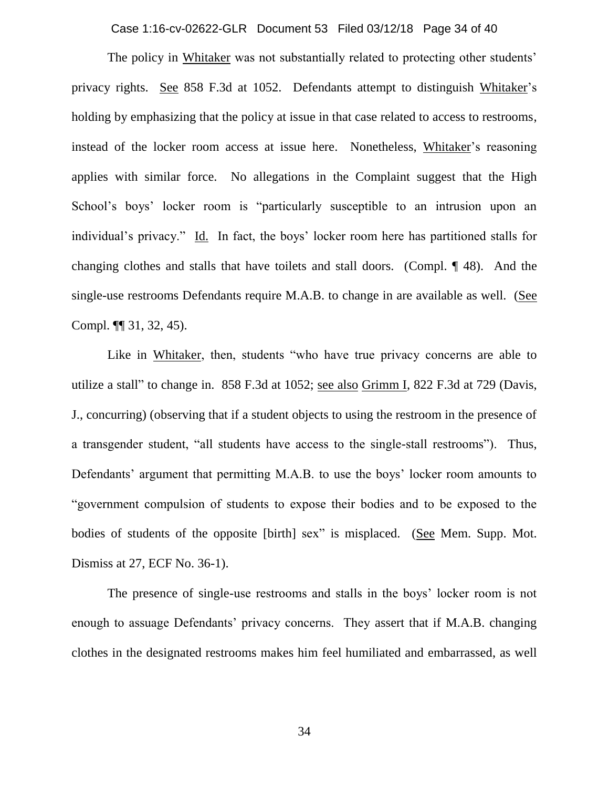Case 1:16-cv-02622-GLR Document 53 Filed 03/12/18 Page 34 of 40

The policy in Whitaker was not substantially related to protecting other students' privacy rights. See 858 F.3d at 1052. Defendants attempt to distinguish Whitaker's holding by emphasizing that the policy at issue in that case related to access to restrooms, instead of the locker room access at issue here. Nonetheless, Whitaker's reasoning applies with similar force. No allegations in the Complaint suggest that the High School's boys' locker room is "particularly susceptible to an intrusion upon an individual's privacy." Id. In fact, the boys' locker room here has partitioned stalls for changing clothes and stalls that have toilets and stall doors. (Compl. ¶ 48). And the single-use restrooms Defendants require M.A.B. to change in are available as well. (See Compl. ¶¶ 31, 32, 45).

Like in Whitaker, then, students "who have true privacy concerns are able to utilize a stall" to change in. 858 F.3d at 1052; see also Grimm I, 822 F.3d at 729 (Davis, J., concurring) (observing that if a student objects to using the restroom in the presence of a transgender student, "all students have access to the single-stall restrooms"). Thus, Defendants' argument that permitting M.A.B. to use the boys' locker room amounts to "government compulsion of students to expose their bodies and to be exposed to the bodies of students of the opposite [birth] sex" is misplaced. (See Mem. Supp. Mot. Dismiss at 27, ECF No. 36-1).

The presence of single-use restrooms and stalls in the boys' locker room is not enough to assuage Defendants' privacy concerns. They assert that if M.A.B. changing clothes in the designated restrooms makes him feel humiliated and embarrassed, as well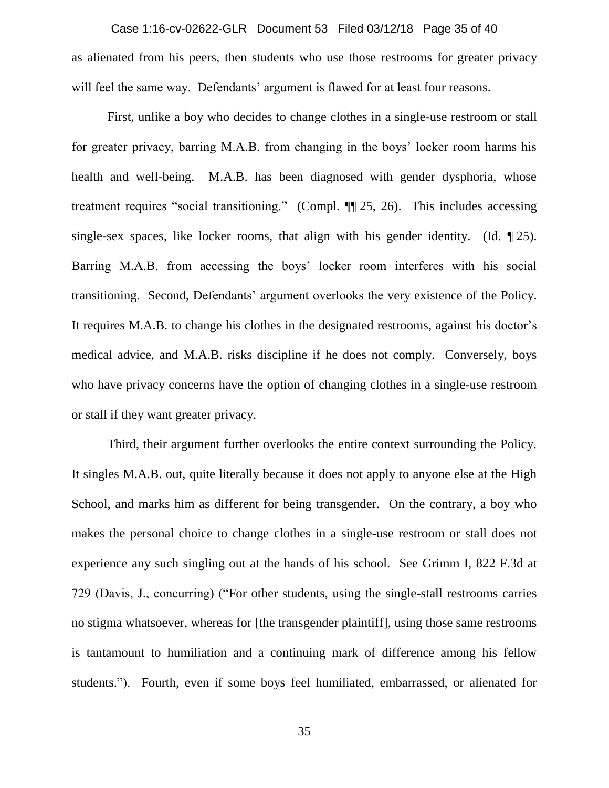as alienated from his peers, then students who use those restrooms for greater privacy will feel the same way. Defendants' argument is flawed for at least four reasons. Case 1:16-cv-02622-GLR Document 53 Filed 03/12/18 Page 35 of 40

First, unlike a boy who decides to change clothes in a single-use restroom or stall for greater privacy, barring M.A.B. from changing in the boys' locker room harms his health and well-being. M.A.B. has been diagnosed with gender dysphoria, whose treatment requires "social transitioning." (Compl. ¶¶ 25, 26). This includes accessing single-sex spaces, like locker rooms, that align with his gender identity. (Id.  $\P$ 25). Barring M.A.B. from accessing the boys' locker room interferes with his social transitioning. Second, Defendants' argument overlooks the very existence of the Policy. It requires M.A.B. to change his clothes in the designated restrooms, against his doctor's medical advice, and M.A.B. risks discipline if he does not comply. Conversely, boys who have privacy concerns have the option of changing clothes in a single-use restroom or stall if they want greater privacy.

Third, their argument further overlooks the entire context surrounding the Policy. It singles M.A.B. out, quite literally because it does not apply to anyone else at the High School, and marks him as different for being transgender. On the contrary, a boy who makes the personal choice to change clothes in a single-use restroom or stall does not experience any such singling out at the hands of his school. See Grimm I, 822 F.3d at 729 (Davis, J., concurring) ("For other students, using the single-stall restrooms carries no stigma whatsoever, whereas for [the transgender plaintiff], using those same restrooms is tantamount to humiliation and a continuing mark of difference among his fellow students."). Fourth, even if some boys feel humiliated, embarrassed, or alienated for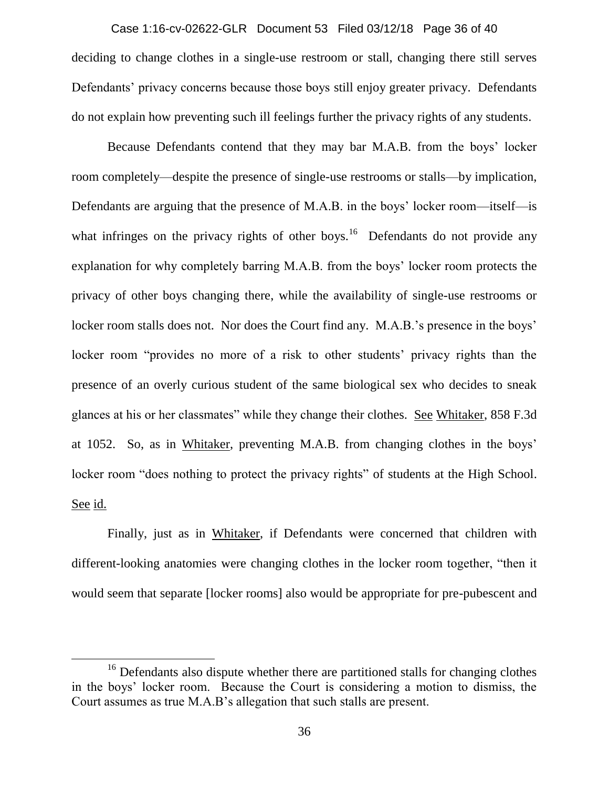deciding to change clothes in a single-use restroom or stall, changing there still serves Defendants' privacy concerns because those boys still enjoy greater privacy. Defendants do not explain how preventing such ill feelings further the privacy rights of any students. Case 1:16-cv-02622-GLR Document 53 Filed 03/12/18 Page 36 of 40

Because Defendants contend that they may bar M.A.B. from the boys' locker room completely—despite the presence of single-use restrooms or stalls—by implication, Defendants are arguing that the presence of M.A.B. in the boys' locker room—itself—is what infringes on the privacy rights of other boys.<sup>16</sup> Defendants do not provide any explanation for why completely barring M.A.B. from the boys' locker room protects the privacy of other boys changing there, while the availability of single-use restrooms or locker room stalls does not. Nor does the Court find any. M.A.B.'s presence in the boys' locker room "provides no more of a risk to other students' privacy rights than the presence of an overly curious student of the same biological sex who decides to sneak glances at his or her classmates" while they change their clothes. See Whitaker, 858 F.3d at 1052. So, as in Whitaker, preventing M.A.B. from changing clothes in the boys' locker room "does nothing to protect the privacy rights" of students at the High School. See id.

Finally, just as in Whitaker, if Defendants were concerned that children with different-looking anatomies were changing clothes in the locker room together, "then it would seem that separate [locker rooms] also would be appropriate for pre-pubescent and

 $\overline{a}$ 

<sup>&</sup>lt;sup>16</sup> Defendants also dispute whether there are partitioned stalls for changing clothes in the boys' locker room. Because the Court is considering a motion to dismiss, the Court assumes as true M.A.B's allegation that such stalls are present.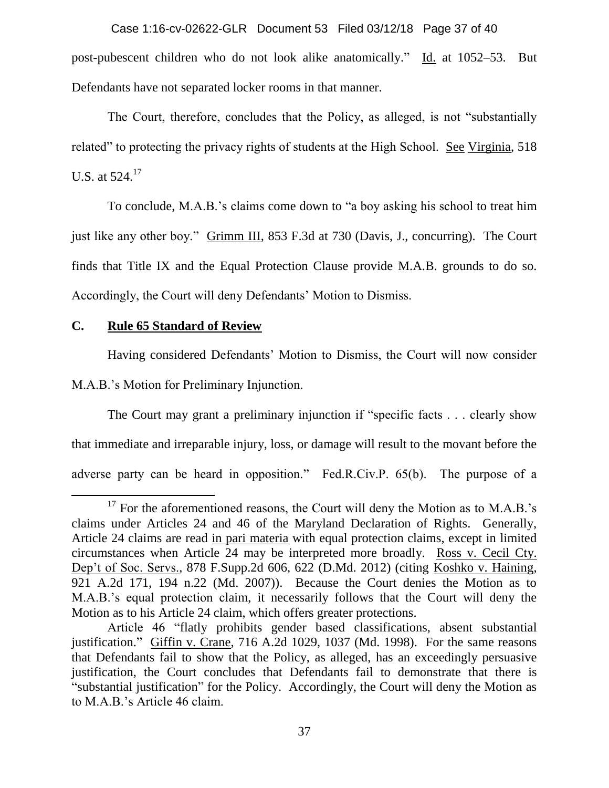post-pubescent children who do not look alike anatomically." Id. at 1052–53. But Defendants have not separated locker rooms in that manner. Case 1:16-cv-02622-GLR Document 53 Filed 03/12/18 Page 37 of 40

The Court, therefore, concludes that the Policy, as alleged, is not "substantially related" to protecting the privacy rights of students at the High School. See Virginia, 518 U.S. at  $524.<sup>17</sup>$ 

To conclude, M.A.B.'s claims come down to "a boy asking his school to treat him just like any other boy." Grimm III, 853 F.3d at 730 (Davis, J., concurring). The Court finds that Title IX and the Equal Protection Clause provide M.A.B. grounds to do so. Accordingly, the Court will deny Defendants' Motion to Dismiss.

# **C. Rule 65 Standard of Review**

 $\overline{\phantom{a}}$ 

Having considered Defendants' Motion to Dismiss, the Court will now consider

M.A.B.'s Motion for Preliminary Injunction.

The Court may grant a preliminary injunction if "specific facts . . . clearly show that immediate and irreparable injury, loss, or damage will result to the movant before the adverse party can be heard in opposition." Fed.R.Civ.P. 65(b). The purpose of a

 $17$  For the aforementioned reasons, the Court will deny the Motion as to M.A.B.'s claims under Articles 24 and 46 of the Maryland Declaration of Rights. Generally, Article 24 claims are read in pari materia with equal protection claims, except in limited circumstances when Article 24 may be interpreted more broadly. Ross v. Cecil Cty. Dep't of Soc. Servs., 878 F.Supp.2d 606, 622 (D.Md. 2012) (citing Koshko v. Haining, 921 A.2d 171, 194 n.22 (Md. 2007)). Because the Court denies the Motion as to M.A.B.'s equal protection claim, it necessarily follows that the Court will deny the Motion as to his Article 24 claim, which offers greater protections.

Article 46 "flatly prohibits gender based classifications, absent substantial justification." Giffin v. Crane, 716 A.2d 1029, 1037 (Md. 1998). For the same reasons that Defendants fail to show that the Policy, as alleged, has an exceedingly persuasive justification, the Court concludes that Defendants fail to demonstrate that there is "substantial justification" for the Policy. Accordingly, the Court will deny the Motion as to M.A.B.'s Article 46 claim.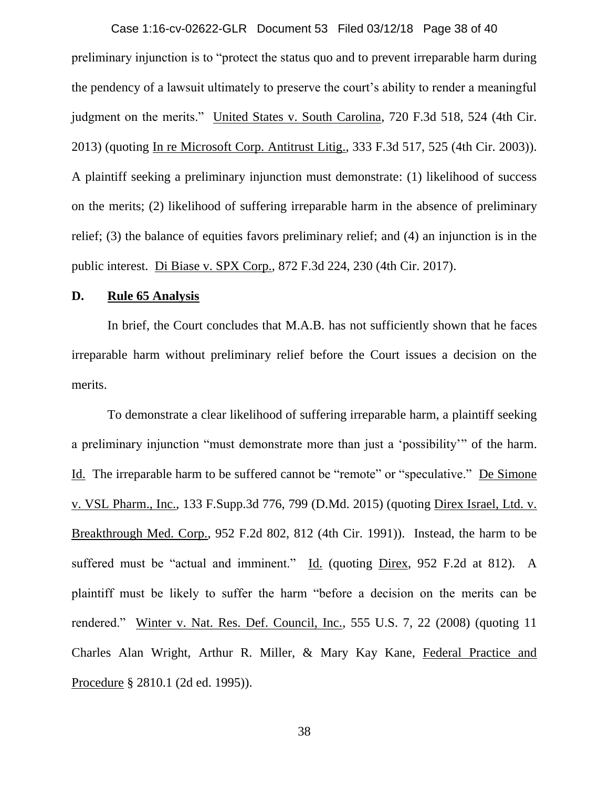preliminary injunction is to "protect the status quo and to prevent irreparable harm during the pendency of a lawsuit ultimately to preserve the court's ability to render a meaningful judgment on the merits." United States v. South Carolina, 720 F.3d 518, 524 (4th Cir. 2013) (quoting In re Microsoft Corp. Antitrust Litig., 333 F.3d 517, 525 (4th Cir. 2003)). A plaintiff seeking a preliminary injunction must demonstrate: (1) likelihood of success on the merits; (2) likelihood of suffering irreparable harm in the absence of preliminary relief; (3) the balance of equities favors preliminary relief; and (4) an injunction is in the public interest. Di Biase v. SPX Corp., 872 F.3d 224, 230 (4th Cir. 2017). Case 1:16-cv-02622-GLR Document 53 Filed 03/12/18 Page 38 of 40

### **D. Rule 65 Analysis**

In brief, the Court concludes that M.A.B. has not sufficiently shown that he faces irreparable harm without preliminary relief before the Court issues a decision on the merits.

To demonstrate a clear likelihood of suffering irreparable harm, a plaintiff seeking a preliminary injunction "must demonstrate more than just a 'possibility'" of the harm. Id. The irreparable harm to be suffered cannot be "remote" or "speculative." De Simone v. VSL Pharm., Inc., 133 F.Supp.3d 776, 799 (D.Md. 2015) (quoting Direx Israel, Ltd. v. Breakthrough Med. Corp., 952 F.2d 802, 812 (4th Cir. 1991)). Instead, the harm to be suffered must be "actual and imminent." Id. (quoting Direx, 952 F.2d at 812). A plaintiff must be likely to suffer the harm "before a decision on the merits can be rendered." Winter v. Nat. Res. Def. Council, Inc., 555 U.S. 7, 22 (2008) (quoting 11 Charles Alan Wright, Arthur R. Miller, & Mary Kay Kane, Federal Practice and Procedure § 2810.1 (2d ed. 1995)).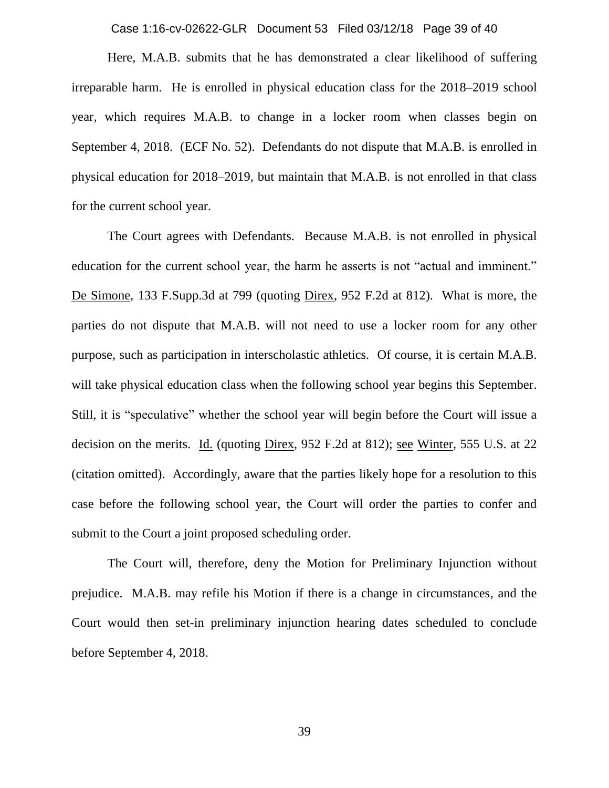Case 1:16-cv-02622-GLR Document 53 Filed 03/12/18 Page 39 of 40

Here, M.A.B. submits that he has demonstrated a clear likelihood of suffering irreparable harm. He is enrolled in physical education class for the 2018–2019 school year, which requires M.A.B. to change in a locker room when classes begin on September 4, 2018. (ECF No. 52). Defendants do not dispute that M.A.B. is enrolled in physical education for 2018–2019, but maintain that M.A.B. is not enrolled in that class for the current school year.

The Court agrees with Defendants. Because M.A.B. is not enrolled in physical education for the current school year, the harm he asserts is not "actual and imminent." De Simone, 133 F.Supp.3d at 799 (quoting Direx, 952 F.2d at 812). What is more, the parties do not dispute that M.A.B. will not need to use a locker room for any other purpose, such as participation in interscholastic athletics. Of course, it is certain M.A.B. will take physical education class when the following school year begins this September. Still, it is "speculative" whether the school year will begin before the Court will issue a decision on the merits. Id. (quoting Direx, 952 F.2d at 812); see Winter, 555 U.S. at 22 (citation omitted). Accordingly, aware that the parties likely hope for a resolution to this case before the following school year, the Court will order the parties to confer and submit to the Court a joint proposed scheduling order.

The Court will, therefore, deny the Motion for Preliminary Injunction without prejudice. M.A.B. may refile his Motion if there is a change in circumstances, and the Court would then set-in preliminary injunction hearing dates scheduled to conclude before September 4, 2018.

39